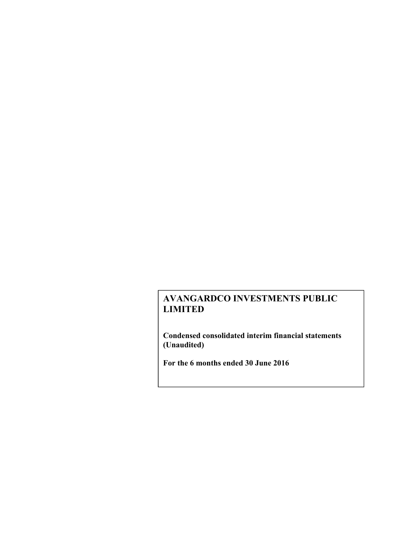**Condensed consolidated interim financial statements (Unaudited)** 

**For the 6 months ended 30 June 2016**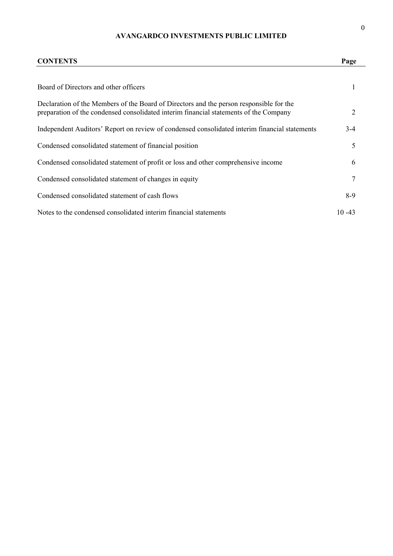| <b>CONTENTS</b>                                                                                                                                                                  | Page      |
|----------------------------------------------------------------------------------------------------------------------------------------------------------------------------------|-----------|
| Board of Directors and other officers                                                                                                                                            | 1         |
| Declaration of the Members of the Board of Directors and the person responsible for the<br>preparation of the condensed consolidated interim financial statements of the Company | 2         |
| Independent Auditors' Report on review of condensed consolidated interim financial statements                                                                                    | $3-4$     |
| Condensed consolidated statement of financial position                                                                                                                           | 5         |
| Condensed consolidated statement of profit or loss and other comprehensive income                                                                                                | 6         |
| Condensed consolidated statement of changes in equity                                                                                                                            | 7         |
| Condensed consolidated statement of cash flows                                                                                                                                   | $8-9$     |
| Notes to the condensed consolidated interim financial statements                                                                                                                 | $10 - 43$ |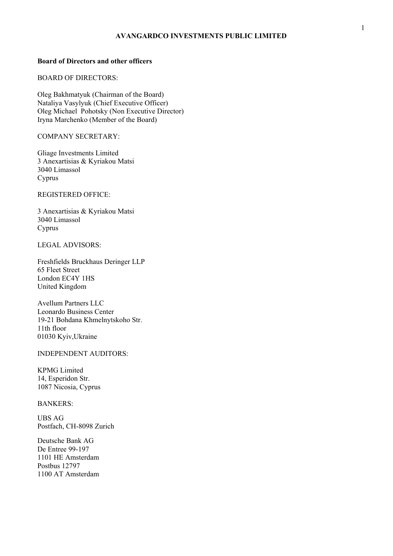# **Board of Directors and other officers**

# BOARD OF DIRECTORS:

Oleg Bakhmatyuk (Chairman of the Board) Nataliya Vasylyuk (Chief Executive Officer) Oleg Michael Pohotsky (Non Executive Director) Iryna Marchenko (Member of the Board)

# COMPANY SECRETARY:

Gliage Investments Limited 3 Anexartisias & Kyriakou Matsi 3040 Limassol Cyprus

#### REGISTERED OFFICE:

3 Anexartisias & Kyriakou Matsi 3040 Limassol Cyprus

## LEGAL ADVISORS:

Freshfields Bruckhaus Deringer LLP 65 Fleet Street London EC4Y 1HS United Kingdom

Avellum Partners LLC Leonardo Business Center 19-21 Bohdana Khmelnytskoho Str. 11th floor 01030 Kyiv,Ukraine

# INDEPENDENT AUDITORS:

KPMG Limited 14, Esperidon Str. 1087 Nicosia, Cyprus

# BANKERS:

UBS AG Postfach, CH-8098 Zurich

Deutsche Bank AG De Entree 99-197 1101 HE Amsterdam Postbus 12797 1100 AT Amsterdam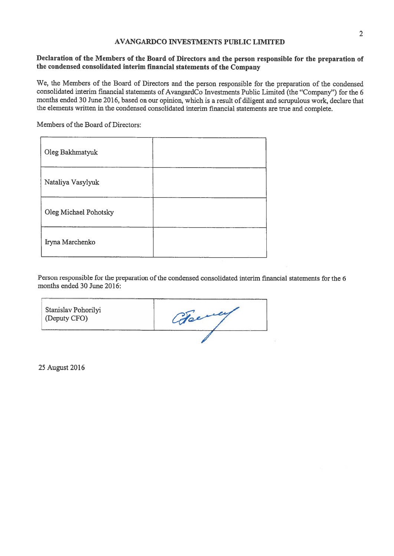# Declaration of the Members of the Board of Directors and the person responsible for the preparation of the condensed consolidated interim financial statements of the Company

We, the Members of the Board of Directors and the person responsible for the preparation of the condensed consolidated interim financial statements of AvangardCo Investments Public Limited (the "Company") for the 6 months ended 30 June 2016, based on our opinion, which is a result of diligent and scrupulous work, declare that the elements written in the condensed consolidated interim financial statements are true and complete.

Members of the Board of Directors:

| Oleg Bakhmatyuk       |  |
|-----------------------|--|
| Nataliya Vasylyuk     |  |
| Oleg Michael Pohotsky |  |
| Iryna Marchenko       |  |

Person responsible for the preparation of the condensed consolidated interim financial statements for the 6 months ended 30 June 2016:

| Stanislav Pohorilyi<br>(Deputy CFO) | German |
|-------------------------------------|--------|
|                                     |        |

25 August 2016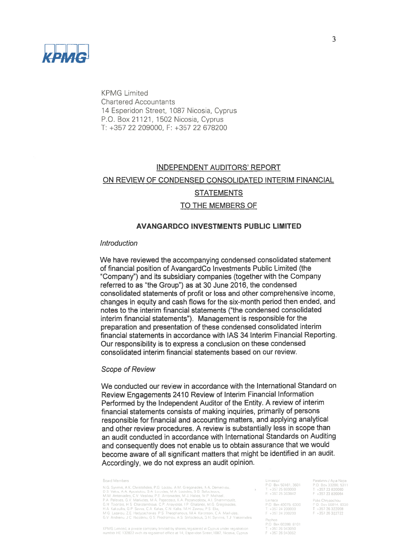

**KPMG** Limited **Chartered Accountants** 14 Esperidon Street, 1087 Nicosia, Cyprus P.O. Box 21121, 1502 Nicosia, Cyprus T: +357 22 209000, F: +357 22 678200

# **INDEPENDENT AUDITORS' REPORT** ON REVIEW OF CONDENSED CONSOLIDATED INTERIM FINANCIAL **STATEMENTS** TO THE MEMBERS OF

## **AVANGARDCO INVESTMENTS PUBLIC LIMITED**

## Introduction

We have reviewed the accompanying condensed consolidated statement of financial position of AvangardCo Investments Public Limited (the "Company") and its subsidiary companies (together with the Company referred to as "the Group") as at 30 June 2016, the condensed consolidated statements of profit or loss and other comprehensive income, changes in equity and cash flows for the six-month period then ended, and notes to the interim financial statements ("the condensed consolidated interim financial statements"). Management is responsible for the preparation and presentation of these condensed consolidated interim financial statements in accordance with IAS 34 Interim Financial Reporting. Our responsibility is to express a conclusion on these condensed consolidated interim financial statements based on our review.

## **Scope of Review**

We conducted our review in accordance with the International Standard on Review Engagements 2410 Review of Interim Financial Information Performed by the Independent Auditor of the Entity. A review of interim financial statements consists of making inquiries, primarily of persons responsible for financial and accounting matters, and applying analytical and other review procedures. A review is substantially less in scope than an audit conducted in accordance with International Standards on Auditing and consequently does not enable us to obtain assurance that we would become aware of all significant matters that might be identified in an audit. Accordingly, we do not express an audit opinion.

#### **Board Members**

N.G. Syrimis, A.K. Christofides, P.G. Loizou, A.M. Gregoriades, A.A. Demetriou,<br>D.S. Vakis, A.A. Apostolou, S.A. Loizides, M.A. Loizides, S.G. Sofocleous,<br>M.M. Antoniades, C.V. Vasiliou, P.E. Antoniades, M.J. Halios, M.P. G.R. Factorius, Francia announs. C.P. Analyonos, Fr. Granamos, M.G. Gregoriades,<br>H.A. Kakoullis, G.P. Savva, C.A. Kalas, C.N. Kallis, M.H. Zavrou, P.S. Elia, M.G. Lazrou, 2.E. Hadjizacharias. P.S. Theophanous, M.A. Karanto Limassol

1<br>
Larnaca Polis Chrysochou<br>
P.O Box 40075, 6300 P O. Box 66014, 8330<br>
T +357 24 200200 F +357 26 322722<br>
F +357 24 200200 F +357 26 322722

Paralimni / Avia Napa 

KPMG Limited, a private company limited by shares, registered in Cyprus under registration number HE 132822 with its registered office at 14, Esperidon Street, 1087, Nicosia, Cyprus

Panhos P.O. Box 60288 8101 T +357 26 943050<br>F +357 26 943062

 $\overline{\mathcal{L}}$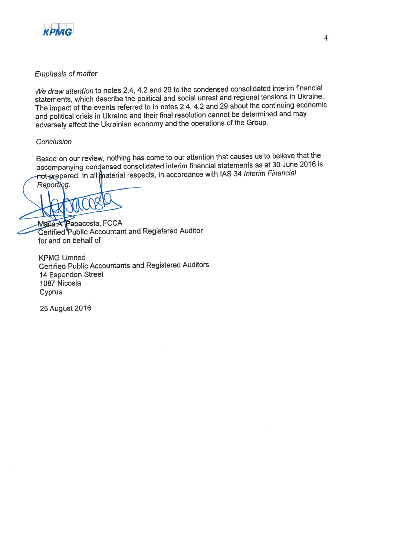

# **Emphasis of matter**

We draw attention to notes 2.4, 4.2 and 29 to the condensed consolidated interim financial statements, which describe the political and social unrest and regional tensions in Ukraine. The impact of the events referred to in notes 2.4, 4.2 and 29 about the continuing economic and political crisis in Ukraine and their final resolution cannot be determined and may adversely affect the Ukrainian economy and the operations of the Group.

# Conclusion

Based on our review, nothing has come to our attention that causes us to believe that the accompanying condensed consolidated interim financial statements as at 30 June 2016 is not prepared, in all material respects, in accordance with IAS 34 Interim Financial Reporting.

Maria A. Papacosta, FCCA Certified Public Accountant and Registered Auditor for and on behalf of

**KPMG Limited Certified Public Accountants and Registered Auditors** 14 Esperidon Street 1087 Nicosia Cyprus

**25 August 2016**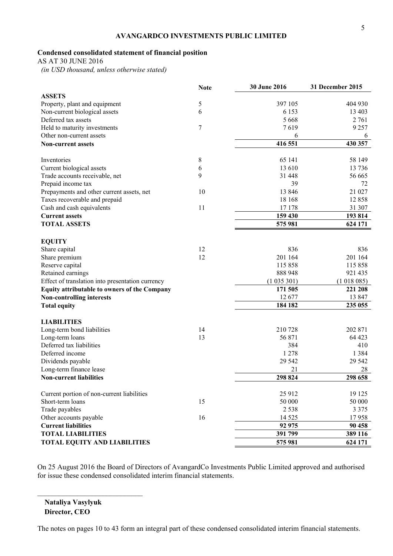# **Condensed consolidated statement of financial position**

AS AT 30 JUNE 2016

 *(in USD thousand, unless otherwise stated)* 

|                                                     | <b>Note</b> | 30 June 2016 | 31 December 2015 |
|-----------------------------------------------------|-------------|--------------|------------------|
| <b>ASSETS</b>                                       |             |              |                  |
| Property, plant and equipment                       | 5           | 397 105      | 404 930          |
| Non-current biological assets                       | 6           | 6 1 5 3      | 13 403           |
| Deferred tax assets                                 |             | 5 6 6 8      | 2 761            |
| Held to maturity investments                        | 7           | 7619         | 9 2 5 7          |
| Other non-current assets                            |             | 6            | 6                |
| <b>Non-current assets</b>                           |             | 416 551      | 430 357          |
| Inventories                                         | 8           | 65 141       | 58 149           |
| Current biological assets                           | 6           | 13 610       | 13 7 36          |
| Trade accounts receivable, net                      | 9           | 31 448       | 56 665           |
| Prepaid income tax                                  |             | 39           | 72               |
| Prepayments and other current assets, net           | 10          | 13 846       | 21 027           |
| Taxes recoverable and prepaid                       |             | 18 168       | 12858            |
| Cash and cash equivalents                           | 11          | 17 178       | 31 307           |
| <b>Current assets</b>                               |             | 159 430      | 193 814          |
| <b>TOTAL ASSETS</b>                                 |             | 575 981      | 624 171          |
|                                                     |             |              |                  |
| <b>EQUITY</b>                                       | 12          | 836          | 836              |
| Share capital<br>Share premium                      | 12          | 201 164      | 201 164          |
| Reserve capital                                     |             | 115 858      | 115 858          |
| Retained earnings                                   |             | 888 948      | 921 435          |
| Effect of translation into presentation currency    |             | (1035301)    | (1018085)        |
| <b>Equity attributable to owners of the Company</b> |             | 171 505      | 221 208          |
| <b>Non-controlling interests</b>                    |             | 12 677       | 13 847           |
| <b>Total equity</b>                                 |             | 184 182      | 235 055          |
|                                                     |             |              |                  |
| <b>LIABILITIES</b>                                  |             |              |                  |
| Long-term bond liabilities                          | 14          | 210728       | 202 871          |
| Long-term loans                                     | 13          | 56 871       | 64 423           |
| Deferred tax liabilities                            |             | 384          | 410              |
| Deferred income                                     |             | 1 2 7 8      | 1 3 8 4          |
| Dividends payable                                   |             | 29 5 42      | 29 5 42          |
| Long-term finance lease                             |             | 21           | 28               |
| <b>Non-current liabilities</b>                      |             | 298 824      | 298 658          |
| Current portion of non-current liabilities          |             | 25 912       | 19 125           |
| Short-term loans                                    | 15          | 50 000       | 50 000           |
| Trade payables                                      |             | 2 5 3 8      | 3 3 7 5          |
| Other accounts payable                              | 16          | 14 5 25      | 17958            |
| <b>Current liabilities</b>                          |             | 92 975       | 90 458           |
| <b>TOTAL LIABILITIES</b>                            |             | 391 799      | 389 116          |
| <b>TOTAL EQUITY AND LIABILITIES</b>                 |             | 575 981      | 624 171          |
|                                                     |             |              |                  |

On 25 August 2016 the Board of Directors of AvangardCo Investments Public Limited approved and authorised for issue these condensed consolidated interim financial statements.

**Nataliya Vasylyuk Director, CEO**

 $\mathcal{L}_\text{max}$  , where  $\mathcal{L}_\text{max}$  and  $\mathcal{L}_\text{max}$ 

The notes on pages 10 to 43 form an integral part of these condensed consolidated interim financial statements.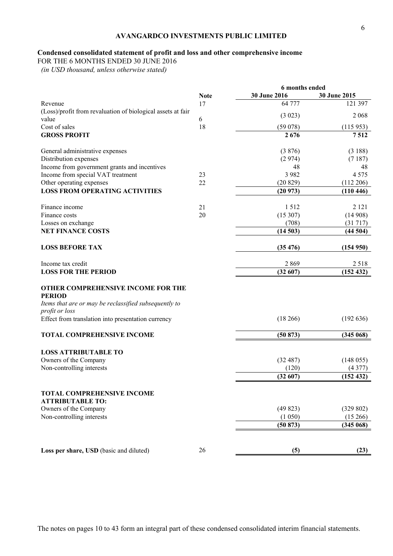# **Condensed consolidated statement of profit and loss and other comprehensive income**

FOR THE 6 MONTHS ENDED 30 JUNE 2016

 *(in USD thousand, unless otherwise stated)* 

| <b>Note</b><br>Revenue<br>17<br>(Loss)/profit from revaluation of biological assets at fair<br>value<br>6<br>Cost of sales<br>18<br><b>GROSS PROFIT</b><br>General administrative expenses<br>Distribution expenses<br>Income from government grants and incentives<br>Income from special VAT treatment<br>23<br>Other operating expenses<br>22<br><b>LOSS FROM OPERATING ACTIVITIES</b><br>21<br>Finance income | 6 months ended |              |
|-------------------------------------------------------------------------------------------------------------------------------------------------------------------------------------------------------------------------------------------------------------------------------------------------------------------------------------------------------------------------------------------------------------------|----------------|--------------|
|                                                                                                                                                                                                                                                                                                                                                                                                                   | 30 June 2016   | 30 June 2015 |
|                                                                                                                                                                                                                                                                                                                                                                                                                   | 64 777         | 121 397      |
|                                                                                                                                                                                                                                                                                                                                                                                                                   | (3 023)        | 2 0 6 8      |
|                                                                                                                                                                                                                                                                                                                                                                                                                   | (59078)        | (115953)     |
|                                                                                                                                                                                                                                                                                                                                                                                                                   | 2676           | 7512         |
|                                                                                                                                                                                                                                                                                                                                                                                                                   |                |              |
|                                                                                                                                                                                                                                                                                                                                                                                                                   | (3876)         | (3188)       |
|                                                                                                                                                                                                                                                                                                                                                                                                                   | (2974)         | (7187)       |
|                                                                                                                                                                                                                                                                                                                                                                                                                   | 48             | 48           |
|                                                                                                                                                                                                                                                                                                                                                                                                                   | 3 9 8 2        | 4 5 7 5      |
|                                                                                                                                                                                                                                                                                                                                                                                                                   | (20829)        | (112 206)    |
|                                                                                                                                                                                                                                                                                                                                                                                                                   | (20973)        | (110446)     |
|                                                                                                                                                                                                                                                                                                                                                                                                                   | 1512           | 2 1 2 1      |
| 20<br>Finance costs                                                                                                                                                                                                                                                                                                                                                                                               | (15307)        | (14908)      |
| Losses on exchange                                                                                                                                                                                                                                                                                                                                                                                                | (708)          | (31717)      |
| <b>NET FINANCE COSTS</b>                                                                                                                                                                                                                                                                                                                                                                                          | (14503)        | (44504)      |
| <b>LOSS BEFORE TAX</b>                                                                                                                                                                                                                                                                                                                                                                                            | (35, 476)      | (154950)     |
| Income tax credit                                                                                                                                                                                                                                                                                                                                                                                                 | 2869           | 2518         |
| <b>LOSS FOR THE PERIOD</b>                                                                                                                                                                                                                                                                                                                                                                                        | (32607)        | (152 432)    |
|                                                                                                                                                                                                                                                                                                                                                                                                                   |                |              |
| OTHER COMPREHENSIVE INCOME FOR THE<br><b>PERIOD</b>                                                                                                                                                                                                                                                                                                                                                               |                |              |
| Items that are or may be reclassified subsequently to                                                                                                                                                                                                                                                                                                                                                             |                |              |
| profit or loss                                                                                                                                                                                                                                                                                                                                                                                                    |                |              |
| Effect from translation into presentation currency                                                                                                                                                                                                                                                                                                                                                                | (18266)        | (192636)     |
| <b>TOTAL COMPREHENSIVE INCOME</b>                                                                                                                                                                                                                                                                                                                                                                                 | (50 873)       | (345068)     |
| <b>LOSS ATTRIBUTABLE TO</b>                                                                                                                                                                                                                                                                                                                                                                                       |                |              |
| Owners of the Company                                                                                                                                                                                                                                                                                                                                                                                             | (32487)        | (148055)     |
| Non-controlling interests                                                                                                                                                                                                                                                                                                                                                                                         | (120)          | (4377)       |
|                                                                                                                                                                                                                                                                                                                                                                                                                   | (32607)        | (152 432)    |
|                                                                                                                                                                                                                                                                                                                                                                                                                   |                |              |
| <b>TOTAL COMPREHENSIVE INCOME</b><br><b>ATTRIBUTABLE TO:</b>                                                                                                                                                                                                                                                                                                                                                      |                |              |
| Owners of the Company                                                                                                                                                                                                                                                                                                                                                                                             | (49823)        | (329 802)    |
| Non-controlling interests                                                                                                                                                                                                                                                                                                                                                                                         | (1050)         | (15266)      |
|                                                                                                                                                                                                                                                                                                                                                                                                                   | (50 873)       | (345068)     |
|                                                                                                                                                                                                                                                                                                                                                                                                                   |                |              |
| 26<br>Loss per share, USD (basic and diluted)                                                                                                                                                                                                                                                                                                                                                                     |                | (23)         |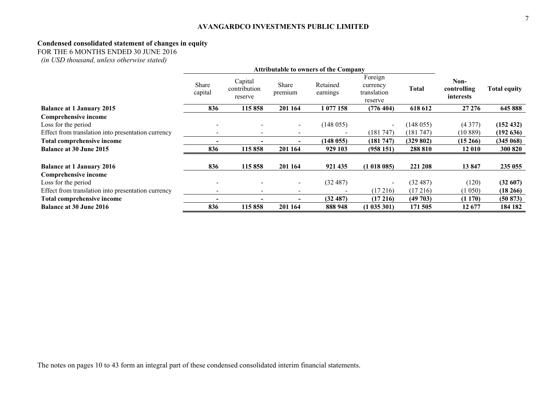#### **Condensed consolidated statement of changes in equity**

FOR THE 6 MONTHS ENDED 30 JUNE 2016

 *(in USD thousand, unless otherwise stated)*

|                                                    | <b>Attributable to owners of the Company</b> |                                    |                          |                      |                                               |              |                                  |                     |
|----------------------------------------------------|----------------------------------------------|------------------------------------|--------------------------|----------------------|-----------------------------------------------|--------------|----------------------------------|---------------------|
|                                                    | Share<br>capital                             | Capital<br>contribution<br>reserve | Share<br>premium         | Retained<br>earnings | Foreign<br>currency<br>translation<br>reserve | <b>Total</b> | Non-<br>controlling<br>interests | <b>Total equity</b> |
| <b>Balance at 1 January 2015</b>                   | 836                                          | 115858                             | 201 164                  | 1077158              | (776 404)                                     | 618 612      | 27 27 6                          | 645 888             |
| <b>Comprehensive income</b>                        |                                              |                                    |                          |                      |                                               |              |                                  |                     |
| Loss for the period                                | $\overline{\phantom{a}}$                     |                                    |                          | (148055)             | $\sim$                                        | (148055)     | (4377)                           | (152 432)           |
| Effect from translation into presentation currency | $\overline{\phantom{a}}$                     | $\overline{\phantom{a}}$           | $\overline{\phantom{a}}$ |                      | (181747)                                      | (181747)     | (10889)                          | (192636)            |
| <b>Total comprehensive income</b>                  | -                                            |                                    |                          | (148055)             | (181747)                                      | (329802)     | $(15\,266)$                      | (345068)            |
| <b>Balance at 30 June 2015</b>                     | 836                                          | 115858                             | 201 164                  | 929 103              | (958151)                                      | 288 810      | 12 010                           | 300 820             |
| <b>Balance at 1 January 2016</b>                   | 836                                          | 115858                             | 201 164                  | 921 435              | (1018085)                                     | 221 208      | 13847                            | 235 055             |
| <b>Comprehensive income</b>                        |                                              |                                    |                          |                      |                                               |              |                                  |                     |
| Loss for the period                                |                                              |                                    |                          | (32487)              | $\sim$                                        | (32 487)     | (120)                            | (32607)             |
| Effect from translation into presentation currency | $\overline{\phantom{a}}$                     | $\overline{\phantom{a}}$           | $\overline{\phantom{0}}$ |                      | (17216)                                       | (17216)      | (1050)                           | $(18\,266)$         |
| Total comprehensive income                         |                                              |                                    |                          | (32 487)             | (17216)                                       | (49703)      | (1170)                           | (50 873)            |
| <b>Balance at 30 June 2016</b>                     | 836                                          | 115 858                            | 201 164                  | 888 948              | (1035301)                                     | 171 505      | 12677                            | 184 182             |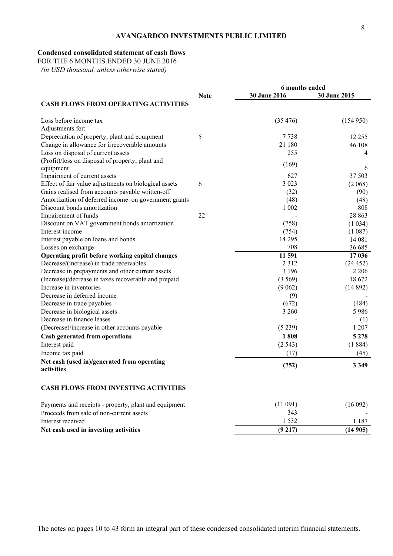# **Condensed consolidated statement of cash flows**

FOR THE 6 MONTHS ENDED 30 JUNE 2016

 *(in USD thousand, unless otherwise stated)* 

|                                                       | 6 months ended |                     |                     |
|-------------------------------------------------------|----------------|---------------------|---------------------|
|                                                       | <b>Note</b>    | <b>30 June 2016</b> | <b>30 June 2015</b> |
| <b>CASH FLOWS FROM OPERATING ACTIVITIES</b>           |                |                     |                     |
| Loss before income tax                                |                | (35, 476)           | (154950)            |
| Adjustments for:                                      |                |                     |                     |
| Depreciation of property, plant and equipment         | 5              | 7738                | 12 2 5 5            |
| Change in allowance for irrecoverable amounts         |                | 21 180              | 46 108              |
| Loss on disposal of current assets                    |                | 255                 | 4                   |
| (Profit)/loss on disposal of property, plant and      |                | (169)               |                     |
| equipment                                             |                |                     | 6                   |
| Impairment of current assets                          |                | 627                 | 37 503              |
| Effect of fair value adjustments on biological assets | 6              | 3 0 2 3             | (2.068)             |
| Gains realised from accounts payable written-off      |                | (32)                | (90)                |
| Amortization of deferred income on government grants  |                | (48)                | (48)                |
| Discount bonds amortization                           |                | 1 0 0 2             | 808                 |
| Impairement of funds                                  | 22             |                     | 28 863              |
| Discount on VAT government bonds amortization         |                | (758)               | (1034)              |
| Interest income                                       |                | (754)               | (1087)              |
| Interest payable on loans and bonds                   |                | 14 2 95             | 14 08 1             |
| Losses on exchange                                    |                | 708                 | 36 685              |
| Operating profit before working capital changes       |                | 11 591              | 17 036              |
| Decrease/(increase) in trade receivables              |                | 2 3 1 2             | (24452)             |
| Decrease in prepayments and other current assets      |                | 3 1 9 6             | 2 2 0 6             |
| (Increase)/decrease in taxes recoverable and prepaid  |                | (3569)              | 18672               |
| Increase in inventories                               |                | (9062)              | (14892)             |
| Decrease in deferred income                           |                | (9)                 |                     |
| Decrease in trade payables                            |                | (672)               | (484)               |
| Decrease in biological assets                         |                | 3 2 6 0             | 5986                |
| Decrease in finance leases                            |                |                     | (1)                 |
| (Decrease)/increase in other accounts payable         |                | (5239)              | 1 207               |
| <b>Cash generated from operations</b>                 |                | 1808                | 5 2 7 8             |
| Interest paid                                         |                | (2543)              | (1884)              |
| Income tax paid                                       |                | (17)                | (45)                |
| Net cash (used in)/generated from operating           |                |                     |                     |
| activities                                            |                | (752)               | 3 3 4 9             |
| <b>CASH FLOWS FROM INVESTING ACTIVITIES</b>           |                |                     |                     |
| Payments and receipts - property, plant and equipment |                | (11091)             | (16092)             |
| Proceeds from sale of non-current assets              |                | 343                 |                     |
| Interest received                                     |                | 1 5 3 2             | 1 1 8 7             |

Net cash used in investing activities (9 217) (14 905)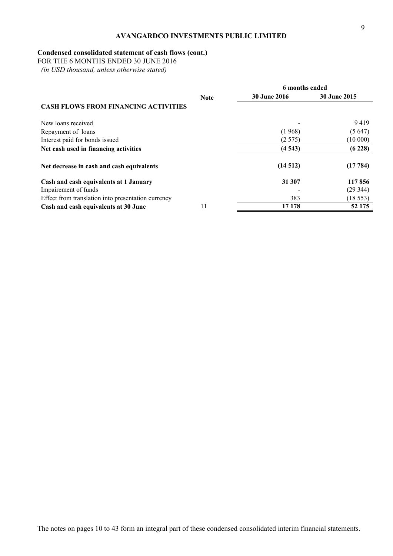# **Condensed consolidated statement of cash flows (cont.)**

FOR THE 6 MONTHS ENDED 30 JUNE 2016

 *(in USD thousand, unless otherwise stated)* 

|                                                    | 6 months ended |                     |              |
|----------------------------------------------------|----------------|---------------------|--------------|
|                                                    | <b>Note</b>    | <b>30 June 2016</b> | 30 June 2015 |
| <b>CASH FLOWS FROM FINANCING ACTIVITIES</b>        |                |                     |              |
| New loans received                                 |                |                     | 9419         |
| Repayment of loans                                 |                | (1968)              | (5647)       |
| Interest paid for bonds issued                     |                | (2575)              | (10000)      |
| Net cash used in financing activities              |                | (4543)              | (6228)       |
| Net decrease in cash and cash equivalents          |                | (14512)             | (17784)      |
| Cash and cash equivalents at 1 January             |                | 31 307              | 117856       |
| Impairement of funds                               |                |                     | (29344)      |
| Effect from translation into presentation currency |                | 383                 | (18553)      |
| Cash and cash equivalents at 30 June               | 11             | 17 178              | 52 175       |

The notes on pages 10 to 43 form an integral part of these condensed consolidated interim financial statements.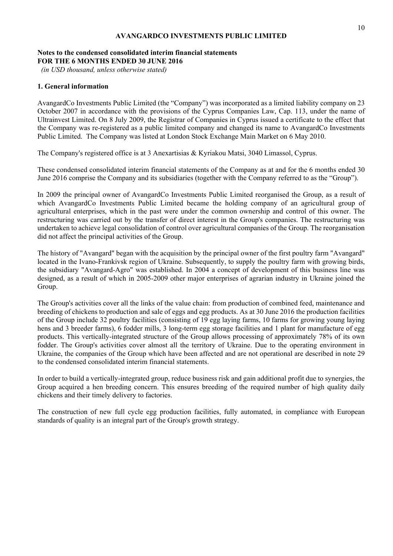# **Notes to the condensed consolidated interim financial statements FOR THE 6 MONTHS ENDED 30 JUNE 2016**

 *(in USD thousand, unless otherwise stated)* 

# **1. General information**

AvangardCo Investments Public Limited (the "Company") was incorporated as a limited liability company on 23 October 2007 in accordance with the provisions of the Cyprus Companies Law, Cap. 113, under the name of Ultrainvest Limited. On 8 July 2009, the Registrar of Companies in Cyprus issued a certificate to the effect that the Company was re-registered as a public limited company and changed its name to AvangardCo Investments Public Limited. The Company was listed at London Stock Exchange Main Market on 6 May 2010.

The Company's registered office is at 3 Anexartisias & Kyriakou Matsi, 3040 Limassol, Cyprus.

These condensed consolidated interim financial statements of the Company as at and for the 6 months ended 30 June 2016 comprise the Company and its subsidiaries (together with the Company referred to as the "Group").

In 2009 the principal owner of AvangardCo Investments Public Limited reorganised the Group, as a result of which AvangardCo Investments Public Limited became the holding company of an agricultural group of agricultural enterprises, which in the past were under the common ownership and control of this owner. The restructuring was carried out by the transfer of direct interest in the Group's companies. The restructuring was undertaken to achieve legal consolidation of control over agricultural companies of the Group. The reorganisation did not affect the principal activities of the Group.

The history of "Avangard" began with the acquisition by the principal owner of the first poultry farm "Avangard" located in the Ivano-Frankivsk region of Ukraine. Subsequently, to supply the poultry farm with growing birds, the subsidiary "Avangard-Agro" was established. In 2004 a concept of development of this business line was designed, as a result of which in 2005-2009 other major enterprises of agrarian industry in Ukraine joined the Group.

The Group's activities cover all the links of the value chain: from production of combined feed, maintenance and breeding of chickens to production and sale of eggs and egg products. As at 30 June 2016 the production facilities of the Group include 32 poultry facilities (consisting of 19 egg laying farms, 10 farms for growing young laying hens and 3 breeder farms), 6 fodder mills, 3 long-term egg storage facilities and 1 plant for manufacture of egg products. This vertically-integrated structure of the Group allows processing of approximately 78% of its own fodder. The Group's activities cover almost all the territory of Ukraine. Due to the operating environment in Ukraine, the companies of the Group which have been affected and are not operational are described in note 29 to the condensed consolidated interim financial statements.

In order to build a vertically-integrated group, reduce business risk and gain additional profit due to synergies, the Group acquired a hen breeding concern. This ensures breeding of the required number of high quality daily chickens and their timely delivery to factories.

The construction of new full cycle egg production facilities, fully automated, in compliance with European standards of quality is an integral part of the Group's growth strategy.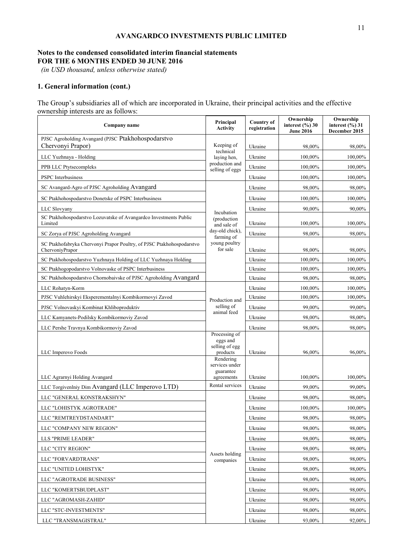# **Notes to the condensed consolidated interim financial statements FOR THE 6 MONTHS ENDED 30 JUNE 2016**

 *(in USD thousand, unless otherwise stated)* 

# **1. General information (cont.)**

The Group's subsidiaries all of which are incorporated in Ukraine, their principal activities and the effective ownership interests are as follows:

| Company name                                                                             | Principal<br><b>Activity</b>                                         | <b>Country of</b><br>registration | Ownership<br>interest $(\%$ ) 30<br><b>June 2016</b> | Ownership<br>interest $(\%$ ) 31<br>December 2015 |
|------------------------------------------------------------------------------------------|----------------------------------------------------------------------|-----------------------------------|------------------------------------------------------|---------------------------------------------------|
| PJSC Agroholding Avangard (PJSC Ptakhohospodarstvo<br>Chervonyi Prapor)                  | Keeping of                                                           | Ukraine                           | 98,00%                                               | 98,00%                                            |
| LLC Yuzhnaya - Holding                                                                   | technical<br>laying hen,                                             | Ukraine                           | 100,00%                                              | 100,00%                                           |
| PPB LLC Ptytsecompleks                                                                   | production and<br>selling of eggs                                    | Ukraine                           | 100,00%                                              | 100,00%                                           |
| <b>PSPC</b> Interbusiness                                                                |                                                                      | Ukraine                           | 100,00%                                              | 100,00%                                           |
| SC Avangard-Agro of PJSC Agroholding Avangard                                            |                                                                      | Ukraine                           | 98,00%                                               | 98,00%                                            |
| SC Ptakhohospodarstvo Donetske of PSPC Interbusiness                                     |                                                                      | Ukraine                           | 100,00%                                              | 100,00%                                           |
| LLC Slovyany                                                                             |                                                                      | Ukraine                           | 90,00%                                               | 90,00%                                            |
| SC Ptakhohospodarstvo Lozuvatske of Avangardco Investments Public<br>Limited             | Incubation<br>(production<br>and sale of                             | Ukraine                           | 100,00%                                              | 100,00%                                           |
| SC Zorya of PJSC Agroholding Avangard                                                    | day-old chick),<br>farming of                                        | Ukraine                           | 98,00%                                               | 98,00%                                            |
| SC Ptakhofabryka Chervonyi Prapor Poultry, of PJSC Ptakhohospodarstvo<br>ChervoniyPrapor | young poultry<br>for sale                                            | Ukraine                           | 98,00%                                               | 98,00%                                            |
| SC Ptakhohospodarstvo Yuzhnaya Holding of LLC Yuzhnaya Holding                           |                                                                      | Ukraine                           | 100,00%                                              | 100,00%                                           |
| SC Ptakhogopodarstvo Volnovaske of PSPC Interbusiness                                    |                                                                      | Ukraine                           | 100,00%                                              | 100,00%                                           |
| SC Ptakhohospodarstvo Chornobaivske of PJSC Agroholding Avangard                         |                                                                      | Ukraine                           | 98,00%                                               | 98,00%                                            |
| LLC Rohatyn-Korm                                                                         |                                                                      | Ukraine                           | 100,00%                                              | 100,00%                                           |
| PJSC Vuhlehirskyi Eksperementalnyi Kombikormovyi Zavod                                   | Production and                                                       | Ukraine                           | 100,00%                                              | 100,00%                                           |
| PJSC Volnovaskyi Kombinat Khliboproduktiv                                                | selling of                                                           | Ukraine                           | 99,00%                                               | 99,00%                                            |
| LLC Kamyanets-Podilsky Kombikormoviy Zavod                                               | animal feed                                                          | Ukraine                           | 98,00%                                               | 98,00%                                            |
| LLC Pershe Travnya Kombikormoviy Zavod                                                   |                                                                      | Ukraine                           | 98,00%                                               | 98,00%                                            |
| LLC Imperovo Foods                                                                       | Processing of<br>eggs and<br>selling of egg<br>products<br>Rendering | Ukraine                           | 96,00%                                               | 96,00%                                            |
| LLC Agrarnyi Holding Avangard                                                            | services under<br>guarantee<br>agreements                            | Ukraine                           | 100.00%                                              | 100,00%                                           |
| LLC Torgivenlniy Dim Avangard (LLC Imperovo LTD)                                         | Rental services                                                      | Ukraine                           | 99,00%                                               | 99,00%                                            |
| LLC "GENERAL KONSTRAKSHYN"                                                               |                                                                      | Ukraine                           | 98,00%                                               | 98,00%                                            |
| LLC "LOHISTYK AGROTRADE"                                                                 |                                                                      | Ukraine                           | 100.00%                                              | 100,00%                                           |
| LLC "REMTREYDSTANDART"                                                                   |                                                                      | Ukraine                           | 98.00%                                               | 98,00%                                            |
| LLC "COMPANY NEW REGION"                                                                 |                                                                      | Ukraine                           | 98,00%                                               | 98,00%                                            |
| LLS "PRIME LEADER"                                                                       |                                                                      | Ukraine                           | 98,00%                                               | 98,00%                                            |
| LLC "CITY REGION"                                                                        |                                                                      | Ukraine                           | 98,00%                                               | 98,00%                                            |
| LLC "FORVARDTRANS"                                                                       | Assets holding<br>companies                                          | Ukraine                           | 98,00%                                               | 98,00%                                            |
| LLC "UNITED LOHISTYK"                                                                    |                                                                      | Ukraine                           | 98,00%                                               | 98,00%                                            |
| LLC "AGROTRADE BUSINESS"                                                                 |                                                                      | Ukraine                           | 98,00%                                               | 98,00%                                            |
| LLC "KOMERTSBUDPLAST"                                                                    |                                                                      | Ukraine                           | 98,00%                                               | 98,00%                                            |
| LLC "AGROMASH-ZAHID"                                                                     |                                                                      | Ukraine                           | 98,00%                                               | 98,00%                                            |
| LLC "STC-INVESTMENTS"                                                                    |                                                                      | Ukraine                           | 98,00%                                               | 98,00%                                            |
| LLC "TRANSMAGISTRAL"                                                                     |                                                                      | Ukraine                           | 93,00%                                               | 92,00%                                            |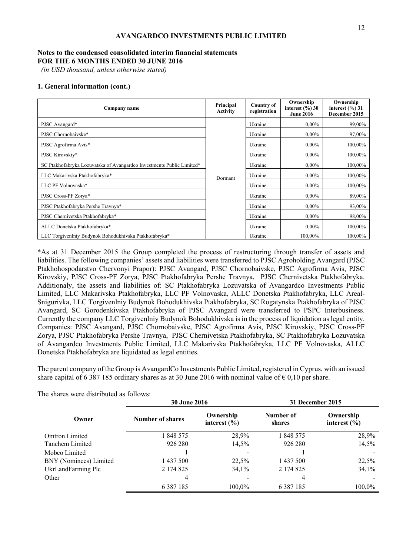# **Notes to the condensed consolidated interim financial statements FOR THE 6 MONTHS ENDED 30 JUNE 2016**

 *(in USD thousand, unless otherwise stated)* 

## **1. General information (cont.)**

| Company name                                                          | Principal<br><b>Activity</b> | <b>Country of</b><br>registration | Ownership<br>interest $(\%$ ) 30<br><b>June 2016</b> | Ownership<br>interest $(\%$ ) 31<br>December 2015 |
|-----------------------------------------------------------------------|------------------------------|-----------------------------------|------------------------------------------------------|---------------------------------------------------|
| PJSC Avangard*                                                        |                              | Ukraine                           | $0.00\%$                                             | 99,00%                                            |
| PJSC Chornobaivske*                                                   |                              | Ukraine                           | $0.00\%$                                             | 97,00%                                            |
| PJSC Agrofirma Avis*                                                  |                              | Ukraine                           | $0.00\%$                                             | 100,00%                                           |
| PJSC Kirovskiy*                                                       |                              | Ukraine                           | $0.00\%$                                             | 100,00%                                           |
| SC Ptakhofabryka Lozuvatska of Avangardco Investments Public Limited* |                              | Ukraine                           | $0.00\%$                                             | 100,00%                                           |
| LLC Makarivska Ptakhofabryka*                                         | Dormant                      | Ukraine                           | $0.00\%$                                             | 100,00%                                           |
| LLC PF Volnovaska*                                                    |                              | Ukraine                           | $0.00\%$                                             | 100,00%                                           |
| PJSC Cross-PF Zorya*                                                  |                              | Ukraine                           | $0.00\%$                                             | 89,00%                                            |
| PJSC Ptakhofabryka Pershe Travnya*                                    |                              | Ukraine                           | $0.00\%$                                             | 93,00%                                            |
| PJSC Chernivetska Ptakhofabryka*                                      |                              | Ukraine                           | $0.00\%$                                             | 98,00%                                            |
| ALLC Donetska Ptakhofabryka*                                          |                              | Ukraine                           | $0.00\%$                                             | 100,00%                                           |
| LLC Torgivenlniy Budynok Bohodukhivska Ptakhofabryka*                 |                              | Ukraine                           | 100,00%                                              | 100,00%                                           |

\*As at 31 December 2015 the Group completed the process of restructuring through transfer of assets and liabilities. The following companies' assets and liabilities were transferred to PJSC Agroholding Avangard (PJSC Ptakhohospodarstvo Chervonyi Prapor): PJSC Avangard, PJSC Chornobaivske, PJSC Agrofirma Avis, PJSC Kirovskiy, PJSC Cross-PF Zorya, PJSC Ptakhofabryka Pershe Travnya, PJSC Chernivetska Ptakhofabryka. Additionaly, the assets and liabilities of: SC Ptakhofabryka Lozuvatska of Avangardco Investments Public Limited, LLC Makarivska Ptakhofabryka, LLC PF Volnovaska, ALLC Donetska Ptakhofabryka, LLC Areal-Snigurivka, LLC Torgivenlniy Budynok Bohodukhivska Ptakhofabryka, SC Rogatynska Ptakhofabryka of PJSC Avangard, SC Gorodenkivska Ptakhofabryka of PJSC Avangard were transferred to PSPC Interbusiness. Currently the company LLC Torgivenlniy Budynok Bohodukhivska is in the process of liquidation as legal entity. Companies: PJSC Avangard, PJSC Chornobaivske, PJSC Agrofirma Avis, PJSC Kirovskiy, PJSC Cross-PF Zorya, PJSC Ptakhofabryka Pershe Travnya, PJSC Chernivetska Ptakhofabryka, SC Ptakhofabryka Lozuvatska of Avangardco Investments Public Limited, LLC Makarivska Ptakhofabryka, LLC PF Volnovaska, ALLC Donetska Ptakhofabryka are liquidated as legal entities.

The parent company of the Group is AvangardCo Investments Public Limited, registered in Cyprus, with an issued share capital of 6 387 185 ordinary shares as at 30 June 2016 with nominal value of  $\epsilon$  0,10 per share.

|                        | <b>30 June 2016</b> |                               | 31 December 2015    |                               |  |
|------------------------|---------------------|-------------------------------|---------------------|-------------------------------|--|
| Owner                  | Number of shares    | Ownership<br>interest $(\% )$ | Number of<br>shares | Ownership<br>interest $(\% )$ |  |
| <b>Omtron Limited</b>  | 1848575             | 28,9%                         | 1 848 575           | 28,9%                         |  |
| Tanchem Limited        | 926 280             | 14,5%                         | 926 280             | 14,5%                         |  |
| Mobco Limited          |                     |                               |                     |                               |  |
| BNY (Nominees) Limited | 1 437 500           | 22,5%                         | 1 437 500           | 22,5%                         |  |
| UkrLandFarming Plc     | 2 174 825           | 34,1%                         | 2 174 825           | 34,1%                         |  |
| Other                  | 4                   |                               | 4                   |                               |  |
|                        | 6 3 8 7 1 8 5       | 100.0%                        | 6 3 8 7 1 8 5       | 100,0%                        |  |

The shares were distributed as follows: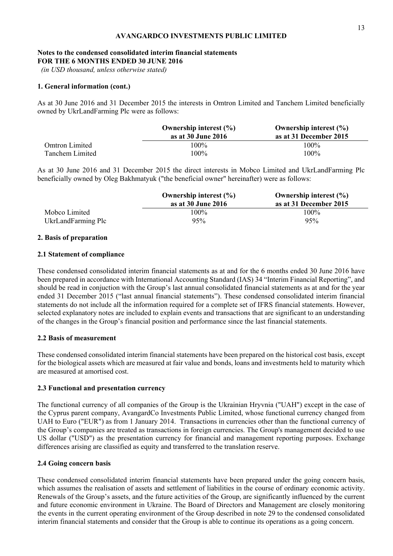## **Notes to the condensed consolidated interim financial statements FOR THE 6 MONTHS ENDED 30 JUNE 2016**

 *(in USD thousand, unless otherwise stated)* 

# **1. General information (cont.)**

As at 30 June 2016 and 31 December 2015 the interests in Omtron Limited and Tanchem Limited beneficially owned by UkrLandFarming Plc were as follows:

|                        | Ownership interest $(\% )$ | Ownership interest $(\% )$ |
|------------------------|----------------------------|----------------------------|
|                        | as at 30 June 2016         | as at 31 December 2015     |
| Omtron Limited         | 100%                       | 100%                       |
| <b>Tanchem Limited</b> | 100%                       | 100%                       |

As at 30 June 2016 and 31 December 2015 the direct interests in Mobco Limited and UkrLandFarming Plc beneficially owned by Oleg Bakhmatyuk ("the beneficial owner" hereinafter) were as follows:

|                    | Ownership interest $(\% )$<br>as at 30 June 2016 | Ownership interest $(\% )$<br>as at 31 December 2015 |
|--------------------|--------------------------------------------------|------------------------------------------------------|
| Mobco Limited      | 100%                                             | $100\%$                                              |
| UkrLandFarming Plc | 95%                                              | 95%                                                  |

## **2. Basis of preparation**

## **2.1 Statement of compliance**

These condensed consolidated interim financial statements as at and for the 6 months ended 30 June 2016 have been prepared in accordance with International Accounting Standard (IAS) 34 "Interim Financial Reporting", and should be read in conjuction with the Group's last annual consolidated financial statements as at and for the year ended 31 December 2015 ("last annual financial statements"). These condensed consolidated interim financial statements do not include all the information required for a complete set of IFRS financial statements. However, selected explanatory notes are included to explain events and transactions that are significant to an understanding of the changes in the Group's financial position and performance since the last financial statements.

## **2.2 Basis of measurement**

These condensed consolidated interim financial statements have been prepared on the historical cost basis, except for the biological assets which are measured at fair value and bonds, loans and investments held to maturity which are measured at amortised cost.

## **2.3 Functional and presentation currency**

The functional currency of all companies of the Group is the Ukrainian Hryvnia ("UAH") except in the case of the Cyprus parent company, AvangardCo Investments Public Limited, whose functional currency changed from UAH to Euro ("EUR") as from 1 January 2014. Transactions in currencies other than the functional currency of the Group's companies are treated as transactions in foreign currencies. The Group's management decided to use US dollar ("USD") as the presentation currency for financial and management reporting purposes. Exchange differences arising are classified as equity and transferred to the translation reserve.

# **2.4 Going concern basis**

These condensed consolidated interim financial statements have been prepared under the going concern basis, which assumes the realisation of assets and settlement of liabilities in the course of ordinary economic activity. Renewals of the Group's assets, and the future activities of the Group, are significantly influenced by the current and future economic environment in Ukraine. The Board of Directors and Management are closely monitoring the events in the current operating environment of the Group described in note 29 to the condensed consolidated interim financial statements and consider that the Group is able to continue its operations as a going concern.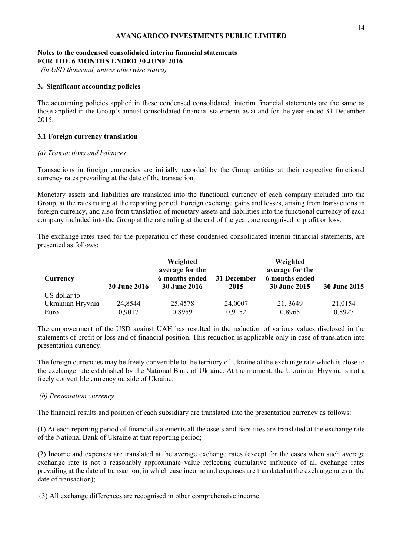# **Notes to the condensed consolidated interim financial statements FOR THE 6 MONTHS ENDED 30 JUNE 2016**

 *(in USD thousand, unless otherwise stated)* 

# **3. Significant accounting policies**

The accounting policies applied in these condensed consolidated interim financial statements are the same as those applied in the Group's annual consolidated financial statements as at and for the year ended 31 December 2015.

# **3.1 Foreign currency translation**

# *(а) Transactions and balances*

Transactions in foreign currencies are initially recorded by the Group entities at their respective functional currency rates prevailing at the date of the transaction.

Monetary assets and liabilities are translated into the functional currency of each company included into the Group, at the rates ruling at the reporting period. Foreign exchange gains and losses, arising from transactions in foreign currency, and also from translation of monetary assets and liabilities into the functional currency of each company included into the Group at the rate ruling at the end of the year, are recognised to profit or loss.

The exchange rates used for the preparation of these condensed consolidated interim financial statements, are presented as follows:

| Currency          | <b>30 June 2016</b> | Weighted<br>average for the<br>6 months ended<br><b>30 June 2016</b> | 31 December<br>2015 | Weighted<br>average for the<br>6 months ended<br><b>30 June 2015</b> | 30 June 2015 |
|-------------------|---------------------|----------------------------------------------------------------------|---------------------|----------------------------------------------------------------------|--------------|
| US dollar to      |                     |                                                                      |                     |                                                                      |              |
| Ukrainian Hryvnia | 24,8544             | 25,4578                                                              | 24,0007             | 21, 3649                                                             | 21,0154      |
| Euro              | 0,9017              | 0,8959                                                               | 0,9152              | 0,8965                                                               | 0,8927       |

The empowerment of the USD against UAH has resulted in the reduction of various values disclosed in the statements of profit or loss and of financial position. This reduction is applicable only in case of translation into presentation currency.

The foreign currencies may be freely convertible to the territory of Ukraine at the exchange rate which is close to the exchange rate established by the National Bank of Ukraine. At the moment, the Ukrainian Hryvnia is not a freely convertible currency outside of Ukraine.

# *(b) Presentation currency*

The financial results and position of each subsidiary are translated into the presentation currency as follows:

(1) At each reporting period of financial statements all the assets and liabilities are translated at the exchange rate of the National Bank of Ukraine at that reporting period;

(2) Income and expenses are translated at the average exchange rates (except for the cases when such average exchange rate is not a reasonably approximate value reflecting cumulative influence of all exchange rates prevailing at the date of transaction, in which case income and expenses are translated at the exchange rates at the date of transaction);

(3) All exchange differences are recognised in other comprehensive income.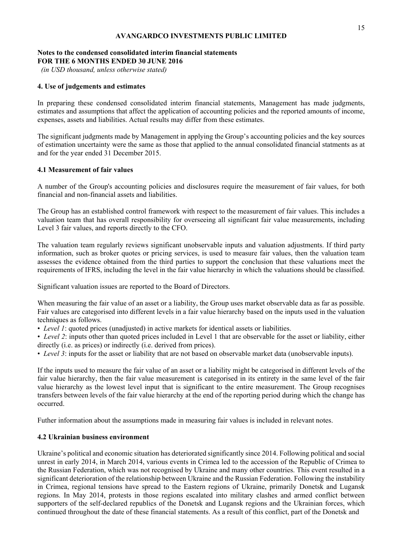# **Notes to the condensed consolidated interim financial statements FOR THE 6 MONTHS ENDED 30 JUNE 2016**

 *(in USD thousand, unless otherwise stated)* 

# **4. Use of judgements and estimates**

In preparing these condensed consolidated interim financial statements, Management has made judgments, estimates and assumptions that affect the application of accounting policies and the reported amounts of income, expenses, assets and liabilities. Actual results may differ from these estimates.

The significant judgments made by Management in applying the Group's accounting policies and the key sources of estimation uncertainty were the same as those that applied to the annual consolidated financial statments as at and for the year ended 31 December 2015.

# **4.1 Measurement of fair values**

A number of the Group's accounting policies and disclosures require the measurement of fair values, for both financial and non-financial assets and liabilities.

The Group has an established control framework with respect to the measurement of fair values. This includes a valuation team that has overall responsibility for overseeing all significant fair value measurements, including Level 3 fair values, and reports directly to the CFO.

The valuation team regularly reviews significant unobservable inputs and valuation adjustments. If third party information, such as broker quotes or pricing services, is used to measure fair values, then the valuation team assesses the evidence obtained from the third parties to support the conclusion that these valuations meet the requirements of IFRS, including the level in the fair value hierarchy in which the valuations should be classified.

Significant valuation issues are reported to the Board of Directors.

When measuring the fair value of an asset or a liability, the Group uses market observable data as far as possible. Fair values are categorised into different levels in a fair value hierarchy based on the inputs used in the valuation techniques as follows.

• *Level 1*: quoted prices (unadjusted) in active markets for identical assets or liabilities.

• *Level 2*: inputs other than quoted prices included in Level 1 that are observable for the asset or liability, either directly (i.e. as prices) or indirectly (i.e. derived from prices).

• *Level 3*: inputs for the asset or liability that are not based on observable market data (unobservable inputs).

If the inputs used to measure the fair value of an asset or a liability might be categorised in different levels of the fair value hierarchy, then the fair value measurement is categorised in its entirety in the same level of the fair value hierarchy as the lowest level input that is significant to the entire measurement. The Group recognises transfers between levels of the fair value hierarchy at the end of the reporting period during which the change has occurred.

Futher information about the assumptions made in measuring fair values is included in relevant notes.

# **4.2 Ukrainian business environment**

Ukraine's political and economic situation has deteriorated significantly since 2014. Following political and social unrest in early 2014, in March 2014, various events in Crimea led to the accession of the Republic of Crimea to the Russian Federation, which was not recognised by Ukraine and many other countries. This event resulted in a significant deterioration of the relationship between Ukraine and the Russian Federation. Following the instability in Crimea, regional tensions have spread to the Eastern regions of Ukraine, primarily Donetsk and Lugansk regions. In May 2014, protests in those regions escalated into military clashes and armed conflict between supporters of the self-declared republics of the Donetsk and Lugansk regions and the Ukrainian forces, which continued throughout the date of these financial statements. As a result of this conflict, part of the Donetsk and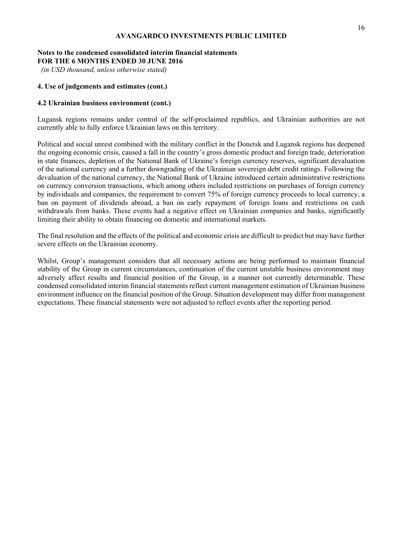# **Notes to the condensed consolidated interim financial statements FOR THE 6 MONTHS ENDED 30 JUNE 2016**

 *(in USD thousand, unless otherwise stated)* 

# **4. Use of judgements and estimates (cont.)**

# **4.2 Ukrainian business environment (cont.)**

Lugansk regions remains under control of the self-proclaimed republics, and Ukrainian authorities are not currently able to fully enforce Ukrainian laws on this territory.

Political and social unrest combined with the military conflict in the Donetsk and Lugansk regions has deepened the ongoing economic crisis, caused a fall in the country's gross domestic product and foreign trade, deterioration in state finances, depletion of the National Bank of Ukraine's foreign currency reserves, significant devaluation of the national currency and a further downgrading of the Ukrainian sovereign debt credit ratings. Following the devaluation of the national currency, the National Bank of Ukraine introduced certain administrative restrictions on currency conversion transactions, which among others included restrictions on purchases of foreign currency by individuals and companies, the requirement to convert 75% of foreign currency proceeds to local currency, a ban on payment of dividends abroad, a ban on early repayment of foreign loans and restrictions on cash withdrawals from banks. These events had a negative effect on Ukrainian companies and banks, significantly limiting their ability to obtain financing on domestic and international markets.

The final resolution and the effects of the political and economic crisis are difficult to predict but may have further severe effects on the Ukrainian economy.

Whilst, Group's management considers that all necessary actions are being performed to maintain financial stability of the Group in current circumstances, continuation of the current unstable business environment may adversely affect results and financial position of the Group, in a manner not currently determinable. These condensed consolidated interim financial statements reflect current management estimation of Ukrainian business environment influence on the financial position of the Group. Situation development may differ from management expectations. These financial statements were not adjusted to reflect events after the reporting period.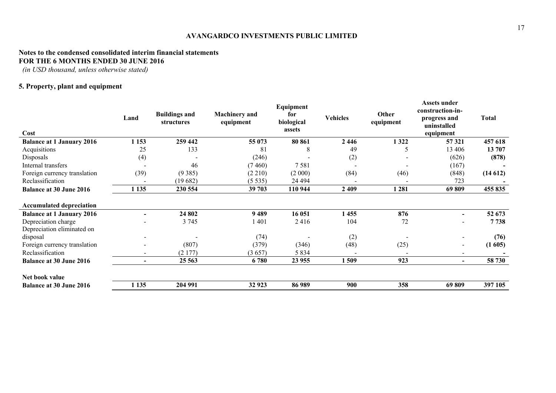# **Notes to the condensed consolidated interim financial statements FOR THE 6 MONTHS ENDED 30 JUNE 2016**

 *(in USD thousand, unless otherwise stated)* 

# **5. Property, plant and equipment**

| Cost                             | Land    | <b>Buildings and</b><br>structures | <b>Machinery</b> and<br>equipment | Equipment<br>for<br>biological<br>assets | <b>Vehicles</b> | Other<br>equipment | <b>Assets under</b><br>construction-in-<br>progress and<br>uninstalled<br>equipment | <b>Total</b> |
|----------------------------------|---------|------------------------------------|-----------------------------------|------------------------------------------|-----------------|--------------------|-------------------------------------------------------------------------------------|--------------|
| <b>Balance at 1 January 2016</b> | 1 1 5 3 | 259 442                            | 55 073                            | 80 861                                   | 2446            | 1322               | 57 321                                                                              | 457 618      |
| Acquisitions                     | 25      | 133                                | 81                                | 8                                        | 49              |                    | 13 406                                                                              | 13 707       |
| Disposals                        | (4)     |                                    | (246)                             |                                          | (2)             |                    | (626)                                                                               | (878)        |
| Internal transfers               |         | 46                                 | (7460)                            | 7581                                     |                 |                    | (167)                                                                               |              |
| Foreign currency translation     | (39)    | (9385)                             | (2 210)                           | (2000)                                   | (84)            | (46)               | (848)                                                                               | (14612)      |
| Reclassification                 |         | (19682)                            | (5535)                            | 24 4 94                                  |                 |                    | 723                                                                                 |              |
| <b>Balance at 30 June 2016</b>   | 1 1 35  | 230 554                            | 39 703                            | 110 944                                  | 2409            | 1 2 8 1            | 69809                                                                               | 455 835      |
| <b>Accumulated depreciation</b>  |         |                                    |                                   |                                          |                 |                    |                                                                                     |              |
| <b>Balance at 1 January 2016</b> |         | 24 802                             | 9489                              | 16 051                                   | 1455            | 876                | $\overline{\phantom{a}}$                                                            | 52 673       |
| Depreciation charge              |         | 3 7 4 5                            | 1401                              | 2416                                     | 104             | 72                 | -                                                                                   | 7738         |
| Depreciation eliminated on       |         |                                    |                                   |                                          |                 |                    |                                                                                     |              |
| disposal                         |         |                                    | (74)                              |                                          | (2)             |                    |                                                                                     | (76)         |
| Foreign currency translation     |         | (807)                              | (379)                             | (346)                                    | (48)            | (25)               | $\overline{\phantom{a}}$                                                            | (1605)       |
| Reclassification                 |         | (2177)                             | (3657)                            | 5 8 3 4                                  |                 |                    |                                                                                     |              |
| <b>Balance at 30 June 2016</b>   |         | 25 5 63                            | 6780                              | 23 955                                   | 1509            | 923                | $\blacksquare$                                                                      | 58 730       |
| Net book value                   |         |                                    |                                   |                                          |                 |                    |                                                                                     |              |
| <b>Balance at 30 June 2016</b>   | 1 1 35  | 204 991                            | 32 923                            | 86 989                                   | 900             | 358                | 69809                                                                               | 397 105      |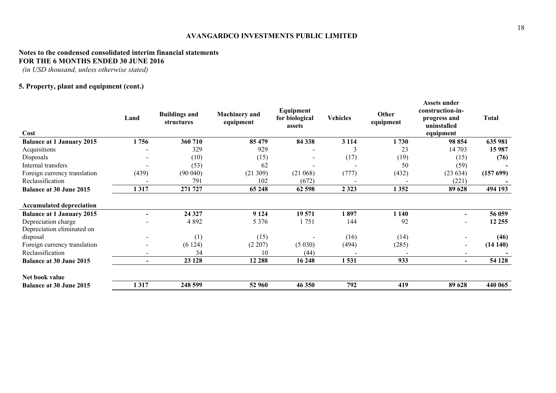# **Notes to the condensed consolidated interim financial statements FOR THE 6 MONTHS ENDED 30 JUNE 2016**

 *(in USD thousand, unless otherwise stated)* 

# **5. Property, plant and equipment (cont.)**

| Cost                             | Land           | <b>Buildings and</b><br>structures | <b>Machinery</b> and<br>equipment | Equipment<br>for biological<br>assets | <b>Vehicles</b> | Other<br>equipment | Assets under<br>construction-in-<br>progress and<br>uninstalled<br>equipment | <b>Total</b> |
|----------------------------------|----------------|------------------------------------|-----------------------------------|---------------------------------------|-----------------|--------------------|------------------------------------------------------------------------------|--------------|
| <b>Balance at 1 January 2015</b> | 1756           | 360 710                            | 85 479                            | 84 338                                | 3 1 1 4         | 1730               | 98 854                                                                       | 635 981      |
| Acquisitions                     |                | 329                                | 929                               |                                       | 3               | 23                 | 14 703                                                                       | 15 987       |
| Disposals                        |                | (10)                               | (15)                              |                                       | (17)            | (19)               | (15)                                                                         | (76)         |
| Internal transfers               |                | (53)                               | 62                                |                                       |                 | 50                 | (59)                                                                         |              |
| Foreign currency translation     | (439)          | (90040)                            | (21309)                           | (21068)                               | (777)           | (432)              | (23634)                                                                      | (157 699)    |
| Reclassification                 |                | 791                                | 102                               | (672)                                 |                 |                    | (221)                                                                        |              |
| <b>Balance at 30 June 2015</b>   | 1317           | 271 727                            | 65 248                            | 62 598                                | 2 3 2 3         | 1352               | 89 628                                                                       | 494 193      |
| <b>Accumulated depreciation</b>  |                |                                    |                                   |                                       |                 |                    |                                                                              |              |
| <b>Balance at 1 January 2015</b> |                | 24 3 27                            | 9 1 2 4                           | 19571                                 | 1897            | 1 1 4 0            | $\blacksquare$                                                               | 56 059       |
| Depreciation charge              |                | 4 8 9 2                            | 5 3 7 6                           | 1751                                  | 144             | 92                 | $\overline{\phantom{a}}$                                                     | 12 2 5 5     |
| Depreciation eliminated on       |                |                                    |                                   |                                       |                 |                    |                                                                              |              |
| disposal                         |                | (1)                                | (15)                              |                                       | (16)            | (14)               |                                                                              | (46)         |
| Foreign currency translation     |                | (6124)                             | (2 207)                           | (5030)                                | (494)           | (285)              | $\overline{\phantom{a}}$                                                     | (14140)      |
| Reclassification                 |                | 34                                 | 10                                | (44)                                  |                 |                    |                                                                              |              |
| <b>Balance at 30 June 2015</b>   | $\blacksquare$ | 23 128                             | 12 288                            | 16 248                                | 1531            | 933                | $\overline{\phantom{0}}$                                                     | 54 128       |
| Net book value                   |                |                                    |                                   |                                       |                 |                    |                                                                              |              |
| <b>Balance at 30 June 2015</b>   | 1317           | 248 599                            | 52 960                            | 46 350                                | 792             | 419                | 89 628                                                                       | 440 065      |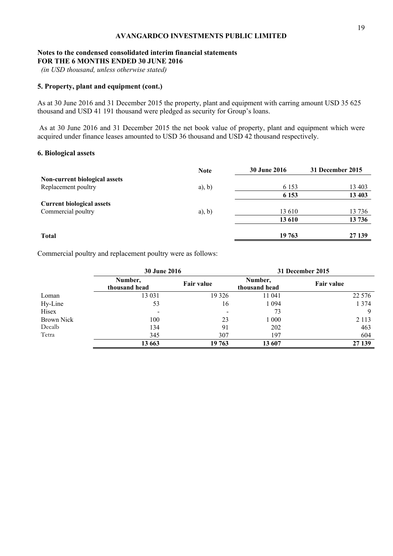## **Notes to the condensed consolidated interim financial statements FOR THE 6 MONTHS ENDED 30 JUNE 2016**

 *(in USD thousand, unless otherwise stated)* 

# **5. Property, plant and equipment (cont.)**

As at 30 June 2016 and 31 December 2015 the property, plant and equipment with carring amount USD 35 625 thousand and USD 41 191 thousand were pledged as security for Group's loans.

 As at 30 June 2016 and 31 December 2015 the net book value of property, plant and equipment which were acquired under finance leases amounted to USD 36 thousand and USD 42 thousand respectively.

# **6. Biological assets**

|                                  | <b>Note</b> | <b>30 June 2016</b> | 31 December 2015 |
|----------------------------------|-------------|---------------------|------------------|
| Non-current biological assets    |             |                     |                  |
| Replacement poultry              | $a)$ , b)   | 6 1 5 3             | 13 403           |
|                                  |             | 6 1 5 3             | 13 403           |
| <b>Current biological assets</b> |             |                     |                  |
| Commercial poultry               | $a)$ , b)   | 13 610              | 13736            |
|                                  |             | 13 610              | 13 736           |
| <b>Total</b>                     |             | 19 763              | 27 139           |

Commercial poultry and replacement poultry were as follows:

|            | <b>30 June 2016</b>      |            | 31 December 2015         |                   |  |
|------------|--------------------------|------------|--------------------------|-------------------|--|
|            | Number,<br>thousand head | Fair value | Number,<br>thousand head | <b>Fair value</b> |  |
| Loman      | 13 03 1                  | 19 3 26    | 11 041                   | 22 5 7 6          |  |
| Hy-Line    | 53                       | 16         | 1 0 9 4                  | 1 3 7 4           |  |
| Hisex      | $\overline{\phantom{a}}$ |            | 73                       | 9                 |  |
| Brown Nick | 100                      | 23         | 1 000                    | 2 1 1 3           |  |
| Decalb     | 134                      | 91         | 202                      | 463               |  |
| Tetra      | 345                      | 307        | 197                      | 604               |  |
|            | 13 663                   | 19 763     | 13 607                   | 27 139            |  |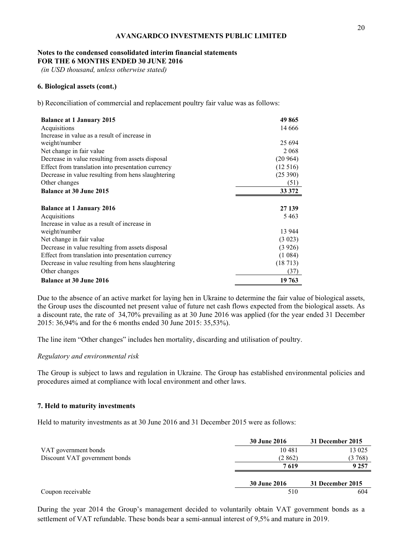# **Notes to the condensed consolidated interim financial statements FOR THE 6 MONTHS ENDED 30 JUNE 2016**

 *(in USD thousand, unless otherwise stated)* 

## **6. Biological assets (cont.)**

b) Reconciliation of commercial and replacement poultry fair value was as follows:

| <b>Balance at 1 January 2015</b>                   | 49 865   |
|----------------------------------------------------|----------|
| Acquisitions                                       | 14 6 6 6 |
| Increase in value as a result of increase in       |          |
| weight/number                                      | 25 6 94  |
| Net change in fair value                           | 2 0 6 8  |
| Decrease in value resulting from assets disposal   | (20964)  |
| Effect from translation into presentation currency | (12516)  |
| Decrease in value resulting from hens slaughtering | (25390)  |
| Other changes                                      | (51)     |
| <b>Balance at 30 June 2015</b>                     | 33 372   |
|                                                    |          |
| <b>Balance at 1 January 2016</b>                   | 27 139   |
| Acquisitions                                       | 5463     |
| Increase in value as a result of increase in       |          |
| weight/number                                      | 13 944   |
| Net change in fair value                           | (3 023)  |
| Decrease in value resulting from assets disposal   | (3926)   |
| Effect from translation into presentation currency | (1084)   |
| Decrease in value resulting from hens slaughtering | (18713)  |
| Other changes                                      | (37)     |
| <b>Balance at 30 June 2016</b>                     | 19 763   |

Due to the absence of an active market for laying hen in Ukraine to determine the fair value of biological assets, the Group uses the discounted net present value of future net cash flows expected from the biological assets. As a discount rate, the rate of 34,70% prevailing as at 30 June 2016 was applied (for the year ended 31 December 2015: 36,94% and for the 6 months ended 30 June 2015: 35,53%).

The line item "Other changes" includes hen mortality, discarding and utilisation of poultry.

## *Regulatory and environmental risk*

The Group is subject to laws and regulation in Ukraine. The Group has established environmental policies and procedures aimed at compliance with local environment and other laws.

#### **7. Held to maturity investments**

Held to maturity investments as at 30 June 2016 and 31 December 2015 were as follows:

|                               | <b>30 June 2016</b> | 31 December 2015 |
|-------------------------------|---------------------|------------------|
| VAT government bonds          | 10481               | 13 025           |
| Discount VAT government bonds | (2 862)             | (3 768)          |
|                               | 7619                | 9 2 5 7          |
|                               | <b>30 June 2016</b> | 31 December 2015 |
| Coupon receivable             | 510                 | 604              |

During the year 2014 the Group's management decided to voluntarily obtain VAT government bonds as a settlement of VAT refundable. These bonds bear a semi-annual interest of 9,5% and mature in 2019.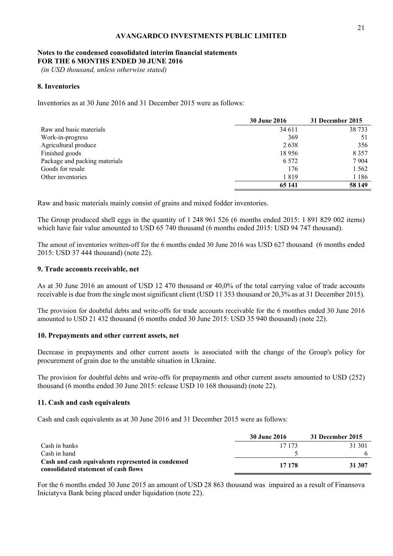## **Notes to the condensed consolidated interim financial statements FOR THE 6 MONTHS ENDED 30 JUNE 2016**

 *(in USD thousand, unless otherwise stated)* 

# **8. Inventories**

Inventories as at 30 June 2016 and 31 December 2015 were as follows:

|                               | <b>30 June 2016</b> | 31 December 2015 |
|-------------------------------|---------------------|------------------|
| Raw and basic materials       | 34 611              | 38 7 33          |
| Work-in-progress              | 369                 |                  |
| Agricultural produce          | 2638                | 356              |
| Finished goods                | 18956               | 8 3 5 7          |
| Package and packing materials | 6.572               | 7904             |
| Goods for resale              | 176                 | 1 5 6 2          |
| Other inventories             | 1819                | 1 1 8 6          |
|                               | 65 141              | 58 149           |

Raw and basic materials mainly consist of grains and mixed fodder inventories.

The Group produced shell eggs in the quantity of 1 248 961 526 (6 months ended 2015: 1 891 829 002 items) which have fair value amounted to USD 65 740 thousand (6 months ended 2015: USD 94 747 thousand).

The amout of inventories written-off for the 6 months ended 30 June 2016 was USD 627 thousand (6 months ended 2015: USD 37 444 thousand) (note 22).

## **9. Trade accounts receivable, net**

As at 30 June 2016 an amount of USD 12 470 thousand or 40,0% of the total carrying value of trade accounts receivable is due from the single most significant client (USD 11 353 thousand or 20,3% as at 31 December 2015).

The provision for doubtful debts and write-offs for trade accounts receivable for the 6 monthes ended 30 June 2016 amounted to USD 21 432 thousand (6 months ended 30 June 2015: USD 35 940 thousand) (note 22).

## **10. Prepayments and other current assets, net**

Decrease in prepayments and other current assets is associated with the change of the Group's policy for procurement of grain due to the unstable situation in Ukraine.

The provision for doubtful debts and write-offs for prepayments and other current assets amounted to USD (252) thousand (6 months ended 30 June 2015: release USD 10 168 thousand) (note 22).

## **11. Cash and cash equivalents**

Cash and cash equivalents as at 30 June 2016 and 31 December 2015 were as follows:

|                                                                                            | 30 June 2016 | 31 December 2015 |
|--------------------------------------------------------------------------------------------|--------------|------------------|
| Cash in banks                                                                              | 17 173       | 31 301           |
| Cash in hand                                                                               |              |                  |
| Cash and cash equivalents represented in condensed<br>consolidated statement of cash flows | 17 178       | 31 307           |

For the 6 months ended 30 June 2015 an amount of USD 28 863 thousand was impaired as a result of Finansova Iniciatyva Bank being placed under liquidation (note 22).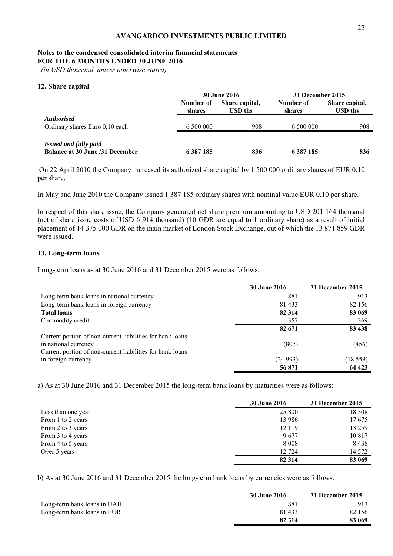# **Notes to the condensed consolidated interim financial statements**

**FOR THE 6 MONTHS ENDED 30 JUNE 2016** 

 *(in USD thousand, unless otherwise stated)* 

# **12. Share capital**

|                                                                        |                     | <b>30 June 2016</b>       |                     | 31 December 2015          |
|------------------------------------------------------------------------|---------------------|---------------------------|---------------------|---------------------------|
|                                                                        | Number of<br>shares | Share capital,<br>USD ths | Number of<br>shares | Share capital,<br>USD ths |
| <b>Authorised</b><br>Ordinary shares Euro 0,10 each                    | 6 500 000           | 908                       | 6.500.000           | 908                       |
| <b>Issued and fully paid</b><br><b>Balance at 30 June /31 December</b> | 6 3 8 7 1 8 5       | 836                       | 6 387 185           | 836                       |

 On 22 April 2010 the Company increased its authorized share capital by 1 500 000 ordinary shares of EUR 0,10 per share.

In May and June 2010 the Company issued 1 387 185 ordinary shares with nominal value EUR 0,10 per share.

In respect of this share issue, the Company generated net share premium amounting to USD 201 164 thousand (net of share issue costs of USD 6 914 thousand) (10 GDR are equal to 1 ordinary share) as a result of initial placement of 14 375 000 GDR on the main market of London Stock Exchange, out of which the 13 871 859 GDR were issued.

# **13. Long-term loans**

Long-term loans as at 30 June 2016 and 31 December 2015 were as follows:

|                                                           | <b>30 June 2016</b> | 31 December 2015 |
|-----------------------------------------------------------|---------------------|------------------|
| Long-term bank loans in national currency                 | 881                 | 913              |
| Long-term bank loans in foreign currency                  | 81 433              | 82 156           |
| <b>Total loans</b>                                        | 82 314              | 83 069           |
| Commodity credit                                          | 357                 | 369              |
|                                                           | 82 671              | 83 438           |
| Current portion of non-current liabilities for bank loans |                     |                  |
| in national currency                                      | (807)               | (456)            |
| Current portion of non-current liabilities for bank loans |                     |                  |
| in foreign currency                                       | (24993)             | (18559)          |
|                                                           | 56 871              | 64 423           |

a) As at 30 June 2016 and 31 December 2015 the long-term bank loans by maturities were as follows:

|                    | <b>30 June 2016</b> | 31 December 2015 |
|--------------------|---------------------|------------------|
| Less than one year | 25 800              | 18 308           |
| From 1 to 2 years  | 13 986              | 17675            |
| From 2 to 3 years  | 12 119              | 13 259           |
| From 3 to 4 years  | 9677                | 10817            |
| From 4 to 5 years  | 8 0 0 8             | 8438             |
| Over 5 years       | 12 724              | 14 572           |
|                    | 82 314              | 83 069           |

b) As at 30 June 2016 and 31 December 2015 the long-term bank loans by currencies were as follows:

|                             | <b>30 June 2016</b> | 31 December 2015 |
|-----------------------------|---------------------|------------------|
| Long-term bank loans in UAH | 881                 | 913              |
| Long-term bank loans in EUR | 81 433              | 82 156           |
|                             | 82 314              | 83 069           |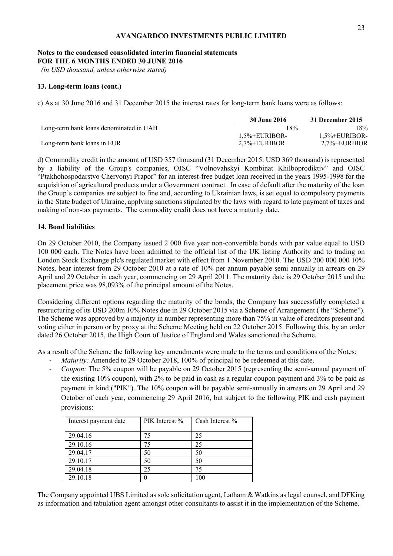## **Notes to the condensed consolidated interim financial statements FOR THE 6 MONTHS ENDED 30 JUNE 2016**

 *(in USD thousand, unless otherwise stated)* 

# **13. Long-term loans (cont.)**

c) As at 30 June 2016 and 31 December 2015 the interest rates for long-term bank loans were as follows:

|                                         | 30 June 2016             | 31 December 2015         |
|-----------------------------------------|--------------------------|--------------------------|
| Long-term bank loans denominated in UAH | 18%                      | 18%                      |
|                                         | $1.5\% + \text{EURIBOR}$ | $1.5\% + \text{EURIBOR}$ |
| Long-term bank loans in EUR             | $2.7\% + \text{EURIBOR}$ | 2.7%+EURIBOR             |

d) Commodity credit in the amount of USD 357 thousand (31 December 2015: USD 369 thousand) is represented by a liability of the Group's companies, OJSC "Volnovahskyi Kombinat Khilboprodiktiv" and OJSC "Ptakhohospodarstvo Chervonyi Prapor" for an interest-free budget loan received in the years 1995-1998 for the acquisition of agricultural products under a Government contract. In case of default after the maturity of the loan the Group's companies are subject to fine and, according to Ukrainian laws, is set equal to compulsory payments in the State budget of Ukraine, applying sanctions stipulated by the laws with regard to late payment of taxes and making of non-tax payments. The commodity credit does not have a maturity date.

# **14. Bond liabilities**

On 29 October 2010, the Company issued 2 000 five year non-convertible bonds with par value equal to USD 100 000 each. The Notes have been admitted to the official list of the UK listing Authority and to trading on London Stock Exchange plc's regulated market with effect from 1 November 2010. The USD 200 000 000 10% Notes, bear interest from 29 October 2010 at a rate of 10% per annum payable semi annually in arrears on 29 April and 29 October in each year, commencing on 29 April 2011. The maturity date is 29 October 2015 and the placement price was 98,093% of the principal amount of the Notes.

Considering different options regarding the maturity of the bonds, the Company has successfully completed a restructuring of its USD 200m 10% Notes due in 29 October 2015 via a Scheme of Arrangement ( the "Scheme"). The Scheme was approved by a majority in number representing more than 75% in value of creditors present and voting either in person or by proxy at the Scheme Meeting held on 22 October 2015. Following this, by an order dated 26 October 2015, the High Court of Justice of England and Wales sanctioned the Scheme.

As a result of the Scheme the following key amendments were made to the terms and conditions of the Notes:

- ‐ *Maturity:* Amended to 29 October 2018, 100% of principal to be redeemed at this date.
- ‐ *Coupon:* The 5% coupon will be payable on 29 October 2015 (representing the semi-annual payment of the existing 10% coupon), with 2% to be paid in cash as a regular coupon payment and 3% to be paid as payment in kind ("PIK"). The 10% coupon will be payable semi-annually in arrears on 29 April and 29 October of each year, commencing 29 April 2016, but subject to the following PIK and cash payment provisions:

| Interest payment date | PIK Interest % | Cash Interest % |
|-----------------------|----------------|-----------------|
| 29.04.16              |                | 25              |
| 29.10.16              |                | 25              |
| 29.04.17              | 50             | 50              |
| 29.10.17              | 50             | 50              |
| 29.04.18              | 25             | 75              |
| 29.10.18              |                | 100             |

The Company appointed UBS Limited as sole solicitation agent, Latham & Watkins as legal counsel, and DFKing as information and tabulation agent amongst other consultants to assist it in the implementation of the Scheme.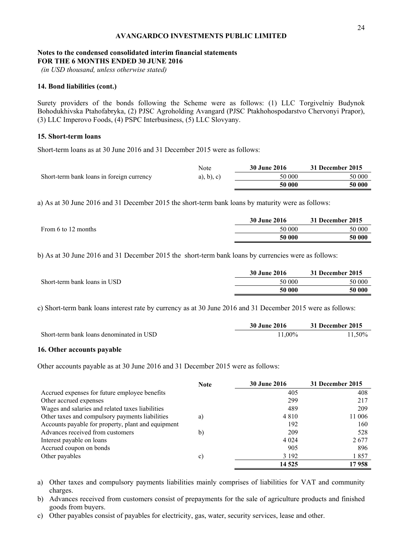# **Notes to the condensed consolidated interim financial statements FOR THE 6 MONTHS ENDED 30 JUNE 2016**

 *(in USD thousand, unless otherwise stated)* 

## **14. Bond liabilities (cont.)**

Surety providers of the bonds following the Scheme were as follows: (1) LLC Torgivelniy Budynok Bohodukhivska Ptahofabryka, (2) PJSC Agroholding Avangard (PJSC Ptakhohospodarstvo Chervonyi Prapor), (3) LLC Imperovo Foods, (4) PSPC Interbusiness, (5) LLC Slovyany.

# **15. Short-term loans**

Short-term loans as at 30 June 2016 and 31 December 2015 were as follows:

|                                           | Note          | <b>30 June 2016</b> | 31 December 2015 |
|-------------------------------------------|---------------|---------------------|------------------|
| Short-term bank loans in foreign currency | $a)$ , b), c) | 50 000              | 50 000           |
|                                           |               | 50 000              | 50 000           |

а) As at 30 June 2016 and 31 December 2015 the short-term bank loans by maturity were as follows:

|                     | 30 June 2016 | 31 December 2015 |
|---------------------|--------------|------------------|
| From 6 to 12 months | 50 000       | 50 000           |
|                     | 50 000       | 50 000           |

b) As at 30 June 2016 and 31 December 2015 the short-term bank loans by currencies were as follows:

|                              | <b>30 June 2016</b> | 31 December 2015 |
|------------------------------|---------------------|------------------|
| Short-term bank loans in USD | 50 000              | 50 000           |
|                              | 50 000              | 50 000           |

c) Short-term bank loans interest rate by currency as at 30 June 2016 and 31 December 2015 were as follows:

|                                          | <b>30 June 2016</b> | 31 December 2015 |
|------------------------------------------|---------------------|------------------|
| Short-term bank loans denominated in USD | 11.00%              | 11.50%           |

## **16. Other accounts payable**

Other accounts payable as at 30 June 2016 and 31 December 2015 were as follows:

|                                                    | <b>Note</b> | <b>30 June 2016</b> | 31 December 2015 |
|----------------------------------------------------|-------------|---------------------|------------------|
| Accrued expenses for future employee benefits      |             | 405                 | 408              |
| Other accrued expenses                             |             | 299                 | 217              |
| Wages and salaries and related taxes liabilities   |             | 489                 | 209              |
| Other taxes and compulsory payments liabilities    | a)          | 4 8 1 0             | 11 006           |
| Accounts payable for property, plant and equipment |             | 192                 | 160              |
| Advances received from customers                   | b)          | 209                 | 528              |
| Interest payable on loans                          |             | 4 0 24              | 2677             |
| Accrued coupon on bonds                            |             | 905                 | 896              |
| Other payables                                     | c)          | 3 1 9 2             | 1857             |
|                                                    |             | 14 5 25             | 17 958           |

a) Other taxes and compulsory payments liabilities mainly comprises of liabilities for VAT and community charges.

b) Advances received from customers consist of prepayments for the sale of agriculture products and finished goods from buyers.

c) Other payables consist of payables for electricity, gas, water, security services, lease and other.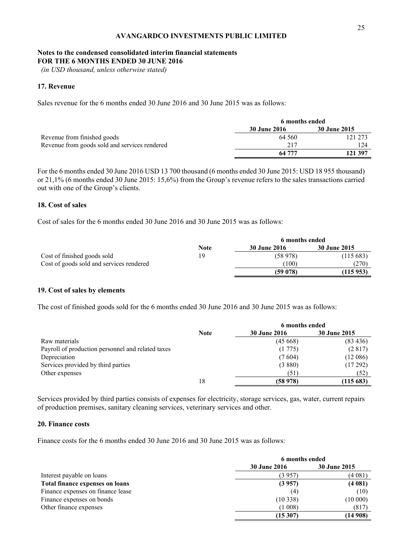# **Notes to the condensed consolidated interim financial statements FOR THE 6 MONTHS ENDED 30 JUNE 2016**

 *(in USD thousand, unless otherwise stated)* 

# **17. Revenue**

Sales revenue for the 6 months ended 30 June 2016 and 30 June 2015 was as follows:

|                                               | 6 months ended      |              |
|-----------------------------------------------|---------------------|--------------|
|                                               | <b>30 June 2016</b> | 30 June 2015 |
| Revenue from finished goods                   | 64 560              | 121 273      |
| Revenue from goods sold and services rendered | 217                 | 124          |
|                                               | 64 777              | 121 397      |

For the 6 months ended 30 June 2016 USD 13 700 thousand (6 months ended 30 June 2015: USD 18 955 thousand) or 21,1% (6 months ended 30 June 2015: 15,6%) from the Group's revenue refers to the sales transactions carried out with one of the Group's clients.

# **18. Cost of sales**

Cost of sales for the 6 months ended 30 June 2016 and 30 June 2015 was as follows:

|                                          | 6 months ended |                     |                     |
|------------------------------------------|----------------|---------------------|---------------------|
|                                          | <b>Note</b>    | <b>30 June 2016</b> | <b>30 June 2015</b> |
| Cost of finished goods sold              | 19             | (58978)             | (115683)            |
| Cost of goods sold and services rendered |                | (100)               | (270)               |
|                                          |                | (59078)             | (115953)            |

## **19. Cost of sales by elements**

The cost of finished goods sold for the 6 months ended 30 June 2016 and 30 June 2015 was as follows:

|                                                   |             | 6 months ended      |              |
|---------------------------------------------------|-------------|---------------------|--------------|
|                                                   | <b>Note</b> | <b>30 June 2016</b> | 30 June 2015 |
| Raw materials                                     |             | (45668)             | (83, 436)    |
| Payroll of production personnel and related taxes |             | (1775)              | (2817)       |
| Depreciation                                      |             | (7604)              | (12086)      |
| Services provided by third parties                |             | (3880)              | (17292)      |
| Other expenses                                    |             | (51)                | (52)         |
|                                                   | 18          | (58978)             | (115683)     |

Services provided by third parties consists of expenses for electricity, storage services, gas, water, current repairs of production premises, sanitary cleaning services, veterinary services and other.

## **20. Finance costs**

Finance costs for the 6 months ended 30 June 2016 and 30 June 2015 was as follows:

|                                   | 6 months ended      |                     |  |
|-----------------------------------|---------------------|---------------------|--|
|                                   | <b>30 June 2016</b> | <b>30 June 2015</b> |  |
| Interest payable on loans         | (3 957)             | (4 081)             |  |
| Total finance expenses on loans   | (3957)              | (4081)              |  |
| Finance expenses on finance lease | (4)                 | (10)                |  |
| Finance expenses on bonds         | (10338)             | (10000)             |  |
| Other finance expenses            | (1 008)             | (817)               |  |
|                                   | (15307)             | (14908)             |  |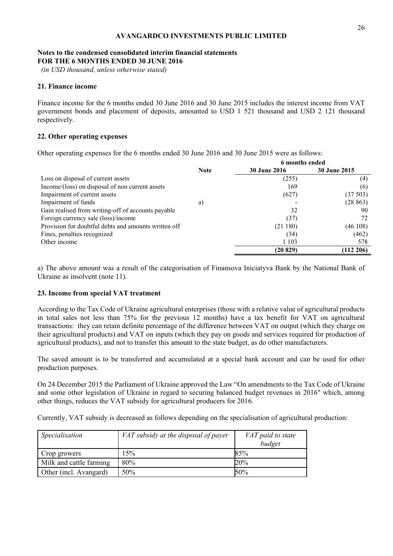# **Notes to the condensed consolidated interim financial statements FOR THE 6 MONTHS ENDED 30 JUNE 2016**

 *(in USD thousand, unless otherwise stated)* 

# **21. Finance income**

Finance income for the 6 months ended 30 June 2016 and 30 June 2015 includes the interest income from VAT government bonds and placement of deposits, amounted to USD 1 521 thousand and USD 2 121 thousand respectively.

# **22. Other operating expenses**

Other operating expenses for the 6 months ended 30 June 2016 and 30 June 2015 were as follows:

|                                                      |             | 6 months ended      |                     |
|------------------------------------------------------|-------------|---------------------|---------------------|
|                                                      | <b>Note</b> | <b>30 June 2016</b> | <b>30 June 2015</b> |
| Loss on disposal of current assets                   |             | (255)               | (4)                 |
| Income/(loss) on disposal of non current assets      |             | 169                 | (6)                 |
| Impairment of current assets                         |             | (627)               | (37503)             |
| Impairment of funds                                  | a)          |                     | (28863)             |
| Gain realised from writing-off of accounts payable   |             | 32                  | 90                  |
| Foreign currency sale (loss)/income                  |             | (37)                | 72                  |
| Provision for doubtful debts and amounts written off |             | (21180)             | (46108)             |
| Fines, penalties recognized                          |             | (34)                | (462)               |
| Other income                                         |             | 1 1 0 3             | 578                 |
|                                                      |             | (20 829)            | (112 206)           |

a) The above amount was a result of the categorisation of Finansova Iniciatyva Bank by the National Bank of Ukraine as insolvent (note 11).

# **23. Income from special VAT treatment**

According to the Tax Code of Ukraine agricultural enterprises (those with a relative value of agricultural products in total sales not less than 75% for the previous 12 months) have a tax benefit for VAT on agricultural transactions: they can retain definite percentage of the difference between VAT on output (which they charge on their agricultural products) and VAT on inputs (which they pay on goods and services required for production of agricultural products), and not to transfer this amount to the state budget, as do other manufacturers.

The saved amount is to be transferred and accumulated at a special bank account and can be used for other production purposes.

On 24 December 2015 the Parliament of Ukraine approved the Law "On amendments to the Tax Code of Ukraine and some other legislation of Ukraine in regard to securing balanced budget revenues in 2016" which, among other things, reduces the VAT subsidy for agricultural producers for 2016.

Currently, VAT subsidy is decreased as follows depending on the specialisation of agricultural production:

| Specialisation          | VAT subsidy at the disposal of payer | VAT paid to state |
|-------------------------|--------------------------------------|-------------------|
|                         |                                      | budget            |
| Crop growers            | 15%                                  | 85%               |
| Milk and cattle farming | 80%                                  | 20%               |
| Other (incl. Avangard)  | 50%                                  | 50%               |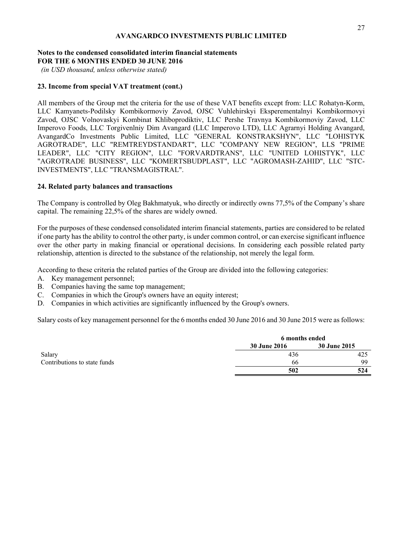# **Notes to the condensed consolidated interim financial statements FOR THE 6 MONTHS ENDED 30 JUNE 2016**

 *(in USD thousand, unless otherwise stated)* 

# **23. Income from special VAT treatment (cont.)**

All members of the Group met the criteria for the use of these VAT benefits except from: LLC Rohatyn-Korm, LLC Kamyanets-Podilsky Kombikormoviy Zavod, OJSC Vuhlehirskyi Eksperementalnyi Kombikormovyi Zavod, OJSC Volnovaskyi Kombinat Khliboprodiktiv, LLC Pershe Travnya Kombikormoviy Zavod, LLC Imperovo Foods, LLC Torgivenlniy Dim Avangard (LLC Imperovo LTD), LLC Agrarnyi Holding Avangard, AvangardCo Investments Public Limited, LLC "GENERAL KONSTRAKSHYN", LLC "LOHISTYK AGROTRADE", LLC "REMTREYDSTANDART", LLC "COMPANY NEW REGION", LLS "PRIME LEADER", LLC "CITY REGION", LLC "FORVARDTRANS", LLC "UNITED LOHISTYK", LLC "AGROTRADE BUSINESS", LLC "KOMERTSBUDPLAST", LLC "AGROMASH-ZAHID", LLC "STC-INVESTMENTS", LLC "TRANSMAGISTRAL".

# **24. Related party balances and transactions**

The Company is controlled by Oleg Bakhmatyuk, who directly or indirectly owns 77,5% of the Company's share capital. The remaining 22,5% of the shares are widely owned.

For the purposes of these condensed consolidated interim financial statements, parties are considered to be related if one party has the ability to control the other party, is under common control, or can exercise significant influence over the other party in making financial or operational decisions. In considering each possible related party relationship, attention is directed to the substance of the relationship, not merely the legal form.

According to these criteria the related parties of the Group are divided into the following categories:

- A. Key management personnel;
- B. Companies having the same top management;
- C. Companies in which the Group's owners have an equity interest;
- D. Companies in which activities are significantly influenced by the Group's owners.

Salary costs of key management personnel for the 6 months ended 30 June 2016 and 30 June 2015 were as follows:

|                              |                     | 6 months ended |  |  |
|------------------------------|---------------------|----------------|--|--|
|                              | <b>30 June 2016</b> | 30 June 2015   |  |  |
| Salary                       | 436                 | 425            |  |  |
| Contributions to state funds | 66                  | 99             |  |  |
|                              | 502                 | 524            |  |  |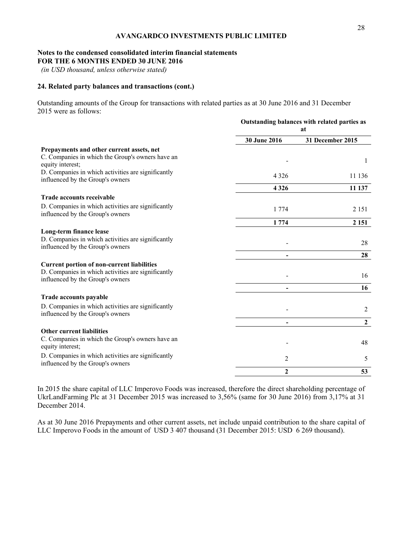# **Notes to the condensed consolidated interim financial statements FOR THE 6 MONTHS ENDED 30 JUNE 2016**

 *(in USD thousand, unless otherwise stated)* 

# **24. Related party balances and transactions (cont.)**

Outstanding amounts of the Group for transactions with related parties as at 30 June 2016 and 31 December 2015 were as follows:

|                                                                                                                                             |              | Outstanding balances with related parties as<br>at |
|---------------------------------------------------------------------------------------------------------------------------------------------|--------------|----------------------------------------------------|
|                                                                                                                                             | 30 June 2016 | 31 December 2015                                   |
| Prepayments and other current assets, net<br>C. Companies in which the Group's owners have an<br>equity interest;                           |              | 1                                                  |
| D. Companies in which activities are significantly<br>influenced by the Group's owners                                                      | 4 3 2 6      | 11 136                                             |
|                                                                                                                                             | 4 3 2 6      | 11 137                                             |
| Trade accounts receivable                                                                                                                   |              |                                                    |
| D. Companies in which activities are significantly<br>influenced by the Group's owners                                                      | 1 7 7 4      | 2 1 5 1                                            |
|                                                                                                                                             | 1 7 7 4      | 2 1 5 1                                            |
| Long-term finance lease<br>D. Companies in which activities are significantly<br>influenced by the Group's owners                           |              | 28                                                 |
|                                                                                                                                             |              | 28                                                 |
| <b>Current portion of non-current liabilities</b><br>D. Companies in which activities are significantly<br>influenced by the Group's owners |              | 16                                                 |
|                                                                                                                                             |              | 16                                                 |
| Trade accounts payable                                                                                                                      |              |                                                    |
| D. Companies in which activities are significantly<br>influenced by the Group's owners                                                      |              | 2                                                  |
|                                                                                                                                             |              | $\boldsymbol{2}$                                   |
| <b>Other current liabilities</b><br>C. Companies in which the Group's owners have an<br>equity interest;                                    |              | 48                                                 |
| D. Companies in which activities are significantly<br>influenced by the Group's owners                                                      | 2            | 5                                                  |
|                                                                                                                                             | $\mathbf{2}$ | 53                                                 |

In 2015 the share capital of LLC Imperovo Foods was increased, therefore the direct shareholding percentage of UkrLandFarming Plc at 31 December 2015 was increased to 3,56% (same for 30 June 2016) from 3,17% at 31 December 2014.

As at 30 June 2016 Prepayments and other current assets, net include unpaid contribution to the share capital of LLC Imperovo Foods in the amount of USD 3 407 thousand (31 December 2015: USD 6 269 thousand).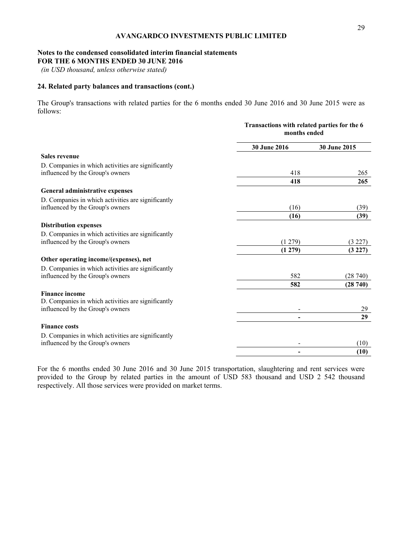## **Notes to the condensed consolidated interim financial statements FOR THE 6 MONTHS ENDED 30 JUNE 2016**

 *(in USD thousand, unless otherwise stated)* 

# **24. Related party balances and transactions (cont.)**

The Group's transactions with related parties for the 6 months ended 30 June 2016 and 30 June 2015 were as follows:

|                                                    | Transactions with related parties for the 6<br>months ended |              |  |
|----------------------------------------------------|-------------------------------------------------------------|--------------|--|
|                                                    | <b>30 June 2016</b>                                         | 30 June 2015 |  |
| Sales revenue                                      |                                                             |              |  |
| D. Companies in which activities are significantly |                                                             |              |  |
| influenced by the Group's owners                   | 418                                                         | 265          |  |
|                                                    | 418                                                         | 265          |  |
| General administrative expenses                    |                                                             |              |  |
| D. Companies in which activities are significantly |                                                             |              |  |
| influenced by the Group's owners                   | (16)                                                        | (39)         |  |
|                                                    | (16)                                                        | (39)         |  |
| <b>Distribution expenses</b>                       |                                                             |              |  |
| D. Companies in which activities are significantly |                                                             |              |  |
| influenced by the Group's owners                   | (1279)                                                      | (3 227)      |  |
|                                                    | (1279)                                                      | (3 227)      |  |
| Other operating income/(expenses), net             |                                                             |              |  |
| D. Companies in which activities are significantly |                                                             |              |  |
| influenced by the Group's owners                   | 582                                                         | (28740)      |  |
|                                                    | 582                                                         | (28740)      |  |
| <b>Finance income</b>                              |                                                             |              |  |
| D. Companies in which activities are significantly |                                                             |              |  |
| influenced by the Group's owners                   |                                                             | 29           |  |
|                                                    |                                                             | 29           |  |
| <b>Finance costs</b>                               |                                                             |              |  |
| D. Companies in which activities are significantly |                                                             |              |  |
| influenced by the Group's owners                   |                                                             | (10)         |  |
|                                                    | $\overline{\phantom{0}}$                                    | (10)         |  |

For the 6 months ended 30 June 2016 and 30 June 2015 transportation, slaughtering and rent services were provided to the Group by related parties in the amount of USD 583 thousand and USD 2 542 thousand respectively. All those services were provided on market terms.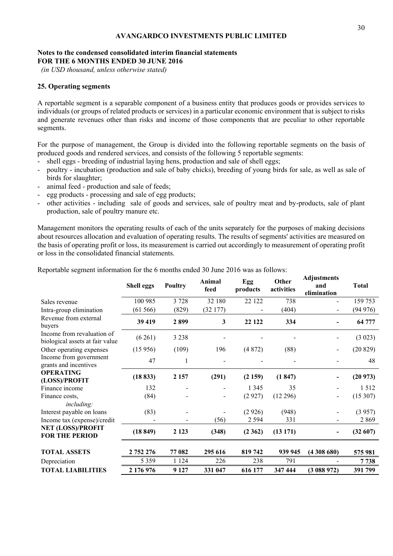# **Notes to the condensed consolidated interim financial statements FOR THE 6 MONTHS ENDED 30 JUNE 2016**

 *(in USD thousand, unless otherwise stated)* 

# **25. Operating segments**

A reportable segment is a separable component of a business entity that produces goods or provides services to individuals (or groups of related products or services) in a particular economic environment that is subject to risks and generate revenues other than risks and income of those components that are peculiar to other reportable segments.

For the purpose of management, the Group is divided into the following reportable segments on the basis of produced goods and rendered services, and consists of the following 5 reportable segments:

- shell eggs breeding of industrial laying hens, production and sale of shell eggs;
- poultry incubation (production and sale of baby chicks), breeding of young birds for sale, as well as sale of birds for slaughter;
- animal feed production and sale of feeds;
- egg products processing and sale of egg products;
- other activities including sale of goods and services, sale of poultry meat and by-products, sale of plant production, sale of poultry manure etc.

Management monitors the operating results of each of the units separately for the purposes of making decisions about resources allocation and evaluation of operating results. The results of segments' activities are measured on the basis of operating profit or loss, its measurement is carried out accordingly to measurement of operating profit or loss in the consolidated financial statements.

|                                                               | Shell eggs | Poultry | Animal<br>feed | Egg<br>products | Other<br>activities | Aujustments<br>and<br>elimination | <b>Total</b> |
|---------------------------------------------------------------|------------|---------|----------------|-----------------|---------------------|-----------------------------------|--------------|
| Sales revenue                                                 | 100 985    | 3728    | 32 180         | 22 122          | 738                 |                                   | 159 753      |
| Intra-group elimination                                       | (61566)    | (829)   | (32177)        |                 | (404)               |                                   | (94976)      |
| Revenue from external<br>buyers                               | 39 419     | 2899    | $\mathbf{3}$   | 22 122          | 334                 |                                   | 64 777       |
| Income from revaluation of<br>biological assets at fair value | (6261)     | 3 2 3 8 |                |                 |                     |                                   | (3023)       |
| Other operating expenses                                      | (15956)    | (109)   | 196            | (4872)          | (88)                | $\overline{a}$                    | (20829)      |
| Income from government<br>grants and incentives               | 47         | 1       |                |                 |                     |                                   | 48           |
| <b>OPERATING</b><br>(LOSS)/PROFIT                             | (18833)    | 2 1 5 7 | (291)          | (2159)          | (1847)              |                                   | (20973)      |
| Finance income                                                | 132        |         |                | 1 3 4 5         | 35                  |                                   | 1512         |
| Finance costs,<br>including:                                  | (84)       |         |                | (2927)          | (12 296)            | $\overline{\phantom{0}}$          | (15307)      |
| Interest payable on loans                                     | (83)       |         |                | (2926)          | (948)               |                                   | (3957)       |
| Income tax (expense)/credit                                   |            |         | (56)           | 2 5 9 4         | 331                 |                                   | 2869         |
| <b>NET (LOSS)/PROFIT</b><br><b>FOR THE PERIOD</b>             | (18849)    | 2 1 2 3 | (348)          | (2362)          | (13171)             | $\overline{\phantom{0}}$          | (32607)      |
| <b>TOTAL ASSETS</b>                                           | 2 752 276  | 77 082  | 295 616        | 819742          | 939 945             | (4308680)                         | 575 981      |
| Depreciation                                                  | 5 3 5 9    | 1 1 2 4 | 226            | 238             | 791                 |                                   | 7 7 3 8      |
| <b>TOTAL LIABILITIES</b>                                      | 2 176 976  | 9 1 2 7 | 331 047        | 616 177         | 347 444             | (3088972)                         | 391 799      |

Reportable segment information for the 6 months ended 30 June 2016 was as follows:

**Adjustments**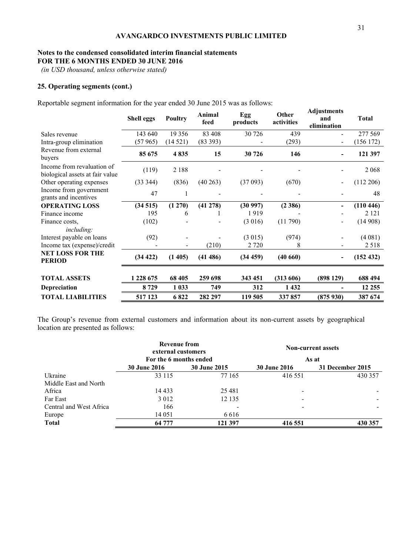## **Notes to the condensed consolidated interim financial statements FOR THE 6 MONTHS ENDED 30 JUNE 2016**

 *(in USD thousand, unless otherwise stated)* 

# **25. Operating segments (cont.)**

Reportable segment information for the year ended 30 June 2015 was as follows:

|                                                               | <b>Shell eggs</b> | <b>Poultry</b> | Animal<br>feed | Egg<br>products | Other<br>activities | <b>Adjustments</b><br>and<br>elimination | <b>Total</b> |
|---------------------------------------------------------------|-------------------|----------------|----------------|-----------------|---------------------|------------------------------------------|--------------|
| Sales revenue                                                 | 143 640           | 19 3 5 6       | 83 408         | 30 726          | 439                 |                                          | 277 569      |
| Intra-group elimination                                       | (57965)           | (14521)        | (83 393)       |                 | (293)               |                                          | (156 172)    |
| Revenue from external<br>buyers                               | 85 675            | 4835           | 15             | 30 726          | 146                 |                                          | 121 397      |
| Income from revaluation of<br>biological assets at fair value | (119)             | 2 1 8 8        |                |                 |                     |                                          | 2 0 6 8      |
| Other operating expenses                                      | (33 344)          | (836)          | (40263)        | (37093)         | (670)               |                                          | (112 206)    |
| Income from government<br>grants and incentives               | 47                |                |                |                 |                     |                                          | 48           |
| <b>OPERATING LOSS</b>                                         | (34515)           | (1270)         | (41 278)       | (30997)         | (2386)              |                                          | (110446)     |
| Finance income                                                | 195               | 6              |                | 1919            |                     |                                          | 2 1 2 1      |
| Finance costs,                                                | (102)             |                |                | (3 016)         | (11790)             | $\overline{\phantom{a}}$                 | (14908)      |
| including:                                                    |                   |                |                |                 |                     |                                          |              |
| Interest payable on loans                                     | (92)              |                |                | (3015)          | (974)               |                                          | (4081)       |
| Income tax (expense)/credit                                   |                   |                | (210)          | 2 7 2 0         | 8                   |                                          | 2 5 1 8      |
| <b>NET LOSS FOR THE</b><br><b>PERIOD</b>                      | (34 422)          | (1405)         | (41486)        | (34 459)        | (40660)             | $\overline{\phantom{a}}$                 | (152 432)    |
| <b>TOTAL ASSETS</b>                                           | 1 228 675         | 68 405         | 259 698        | 343 451         | (313606)            | (898129)                                 | 688 494      |
| Depreciation                                                  | 8729              | 1 0 3 3        | 749            | 312             | 1 4 3 2             |                                          | 12 25 5      |
| <b>TOTAL LIABILITIES</b>                                      | 517 123           | 6822           | 282 297        | 119 505         | 337857              | (875930)                                 | 387 674      |

The Group's revenue from external customers and information about its non-current assets by geographical location are presented as follows:

|                         | Revenue from<br>external customers |                     | <b>Non-current assets</b> |                  |  |  |
|-------------------------|------------------------------------|---------------------|---------------------------|------------------|--|--|
|                         | For the 6 months ended             |                     |                           | As at            |  |  |
|                         | <b>30 June 2016</b>                | <b>30 June 2015</b> | <b>30 June 2016</b>       | 31 December 2015 |  |  |
| Ukraine                 | 33 115                             | 77 165              | 416 551                   | 430 357          |  |  |
| Middle East and North   |                                    |                     |                           |                  |  |  |
| Africa                  | 14 433                             | 25 4 8 1            | -                         |                  |  |  |
| Far East                | 3 0 1 2                            | 12 135              | -                         |                  |  |  |
| Central and West Africa | 166                                |                     |                           |                  |  |  |
| Europe                  | 14 05 1                            | 6 6 1 6             |                           |                  |  |  |
| <b>Total</b>            | 64 777                             | 121 397             | 416 551                   | 430 357          |  |  |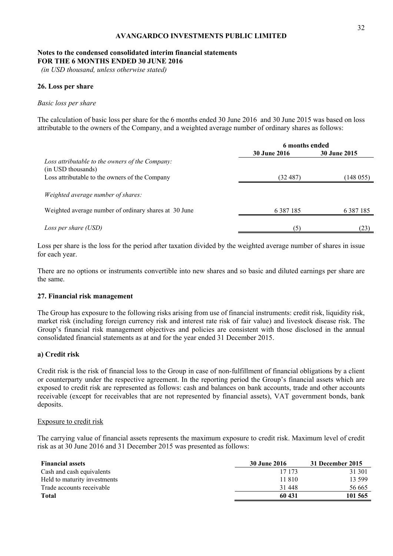# **Notes to the condensed consolidated interim financial statements FOR THE 6 MONTHS ENDED 30 JUNE 2016**

 *(in USD thousand, unless otherwise stated)* 

# **26. Loss per share**

#### *Basic loss per share*

The calculation of basic loss per share for the 6 months ended 30 June 2016 and 30 June 2015 was based on loss attributable to the owners of the Company, and a weighted average number of ordinary shares as follows:

|                                                                                                    | 6 months ended      |                     |  |
|----------------------------------------------------------------------------------------------------|---------------------|---------------------|--|
|                                                                                                    | <b>30 June 2016</b> | <b>30 June 2015</b> |  |
| Loss attributable to the owners of the Company:<br>(in USD thousands)                              |                     |                     |  |
| Loss attributable to the owners of the Company                                                     | (32 487)            | (148055)            |  |
| <i>Weighted average number of shares:</i><br>Weighted average number of ordinary shares at 30 June | 6 3 8 7 1 8 5       | 6 3 8 7 1 8 5       |  |
| Loss per share (USD)                                                                               | (5)                 | (23)                |  |

Loss per share is the loss for the period after taxation divided by the weighted average number of shares in issue for each year.

There are no options or instruments convertible into new shares and so basic and diluted earnings per share are the same.

## **27. Financial risk management**

The Group has exposure to the following risks arising from use of financial instruments: credit risk, liquidity risk, market risk (including foreign currency risk and interest rate risk of fair value) and livestock disease risk. The Group's financial risk management objectives and policies are consistent with those disclosed in the annual consolidated financial statements as at and for the year ended 31 December 2015.

## **a) Credit risk**

Credit risk is the risk of financial loss to the Group in case of non-fulfillment of financial obligations by a client or counterparty under the respective agreement. In the reporting period the Group's financial assets which are exposed to credit risk are represented as follows: cash and balances on bank accounts, trade and other accounts receivable (except for receivables that are not represented by financial assets), VAT government bonds, bank deposits.

#### Exposure to credit risk

The carrying value of financial assets represents the maximum exposure to credit risk. Maximum level of credit risk as at 30 June 2016 and 31 December 2015 was presented as follows:

| <b>Financial assets</b>      | 30 June 2016 | 31 December 2015 |
|------------------------------|--------------|------------------|
| Cash and cash equivalents    | 17 173       | 31 301           |
| Held to maturity investments | 11 810       | 13 599           |
| Trade accounts receivable    | 31 448       | 56 665           |
| <b>Total</b>                 | 60 431       | 101 565          |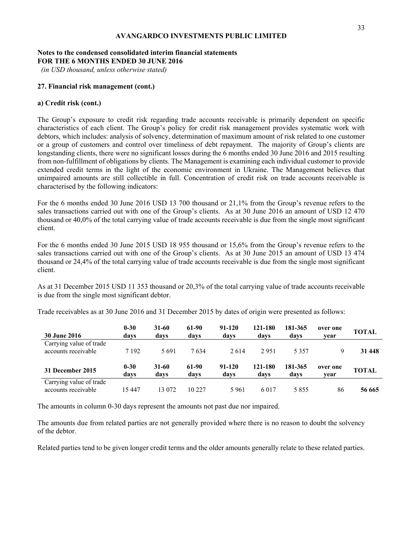# **Notes to the condensed consolidated interim financial statements FOR THE 6 MONTHS ENDED 30 JUNE 2016**

 *(in USD thousand, unless otherwise stated)* 

# **27. Financial risk management (cont.)**

# **a) Credit risk (cont.)**

The Group's exposure to credit risk regarding trade accounts receivable is primarily dependent on specific characteristics of each client. The Group's policy for credit risk management provides systematic work with debtors, which includes: analysis of solvency, determination of maximum amount of risk related to one customer or a group of customers and control over timeliness of debt repayment. The majority of Group's clients are longstanding clients, there were no significant losses during the 6 months ended 30 June 2016 and 2015 resulting from non-fulfillment of obligations by clients. The Management is examining each individual customer to provide extended credit terms in the light of the economic environment in Ukraine. The Management believes that unimpaired amounts are still collectible in full. Concentration of credit risk on trade accounts receivable is characterised by the following indicators:

For the 6 months ended 30 June 2016 USD 13 700 thousand or 21,1% from the Group's revenue refers to the sales transactions carried out with one of the Group's clients. As at 30 June 2016 an amount of USD 12 470 thousand or 40,0% of the total carrying value of trade accounts receivable is due from the single most significant client.

For the 6 months ended 30 June 2015 USD 18 955 thousand or 15,6% from the Group's revenue refers to the sales transactions carried out with one of the Group's clients. As at 30 June 2015 an amount of USD 13 474 thousand or 24,4% of the total carrying value of trade accounts receivable is due from the single most significant client.

As at 31 December 2015 USD 11 353 thousand or 20,3% of the total carrying value of trade accounts receivable is due from the single most significant debtor.

Trade receivables as at 30 June 2016 and 31 December 2015 by dates of origin were presented as follows:

| <b>30 June 2016</b>                            | $0 - 30$<br>davs | $31-60$<br>davs | 61-90<br>davs | 91-120<br>davs | 121-180<br>davs | 181-365<br>davs | over one<br>vear | <b>TOTAL</b> |
|------------------------------------------------|------------------|-----------------|---------------|----------------|-----------------|-----------------|------------------|--------------|
| Carrying value of trade<br>accounts receivable | 7 1 9 2          | 5691            | 7634          | 2614           | 2951            | 5 3 5 7         | 9                | 31 448       |
| 31 December 2015                               | $0 - 30$<br>days | $31-60$<br>davs | 61-90<br>davs | 91-120<br>davs | 121-180<br>davs | 181-365<br>davs | over one<br>vear | <b>TOTAL</b> |
| Carrying value of trade<br>accounts receivable | 15 447           | 13 072          | 10 227        | 5961           | 6 0 1 7         | 5855            | 86               | 56 665       |

The amounts in column 0-30 days represent the amounts not past due nor impaired.

The amounts due from related parties are not generally provided where there is no reason to doubt the solvency of the debtor.

Related parties tend to be given longer credit terms and the older amounts generally relate to these related parties.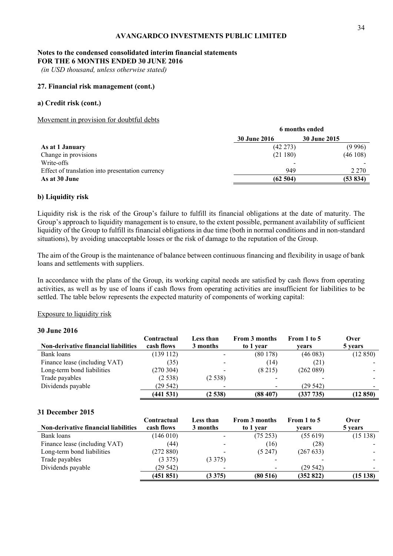# **Notes to the condensed consolidated interim financial statements FOR THE 6 MONTHS ENDED 30 JUNE 2016**

 *(in USD thousand, unless otherwise stated)* 

## **27. Financial risk management (cont.)**

# **a) Credit risk (cont.)**

Movement in provision for doubtful debts

| 30 June 2015<br><b>30 June 2016</b>                     |         |
|---------------------------------------------------------|---------|
| $(42\;273)$<br>As at 1 January                          | (9996)  |
| Change in provisions<br>(46108)<br>(21180)              |         |
| Write-offs                                              |         |
| 949<br>Effect of translation into presentation currency | 2 2 7 0 |
| As at 30 June<br>(53 834)<br>(62504)                    |         |

# **b) Liquidity risk**

Liquidity risk is the risk of the Group's failure to fulfill its financial obligations at the date of maturity. The Group's approach to liquidity management is to ensure, to the extent possible, permanent availability of sufficient liquidity of the Group to fulfill its financial obligations in due time (both in normal conditions and in non-standard situations), by avoiding unacceptable losses or the risk of damage to the reputation of the Group.

The aim of the Group is the maintenance of balance between continuous financing and flexibility in usage of bank loans and settlements with suppliers.

In accordance with the plans of the Group, its working capital needs are satisfied by cash flows from operating activities, as well as by use of loans if cash flows from operating activities are insufficient for liabilities to be settled. The table below represents the expected maturity of components of working capital:

# Exposure to liquidity risk

# **30 June 2016**

|                                      | Contractual | Less than | <b>From 3 months</b>     | From 1 to 5 | Over     |
|--------------------------------------|-------------|-----------|--------------------------|-------------|----------|
| Non-derivative financial liabilities | cash flows  | 3 months  | to 1 year                | vears       | 5 years  |
| Bank loans                           | (139112)    |           | (80178)                  | (46083)     | (12850)  |
| Finance lease (including VAT)        | (35)        |           | (14)                     | (21)        |          |
| Long-term bond liabilities           | (270304)    |           | (8215)                   | (262 089)   |          |
| Trade payables                       | (2.538)     | (2538)    | $\overline{\phantom{0}}$ |             |          |
| Dividends payable                    | (29 542)    |           | $\overline{\phantom{a}}$ | (29542)     |          |
|                                      | (441531)    | (2538)    | (88407)                  | (337 735)   | (12 850) |

## **31 December 2015**

|                                             | Contractual | Less than | From 3 months | From 1 to 5 | Over    |
|---------------------------------------------|-------------|-----------|---------------|-------------|---------|
| <b>Non-derivative financial liabilities</b> | cash flows  | 3 months  | to 1 year     | vears       | 5 years |
| Bank loans                                  | (146010)    |           | (75253)       | (55619)     | (15138) |
| Finance lease (including VAT)               | (44)        |           | (16)          | (28)        |         |
| Long-term bond liabilities                  | (272 880)   |           | (5247)        | (267 633)   |         |
| Trade payables                              | (3375)      | (3375)    |               |             |         |
| Dividends payable                           | (29542)     |           |               | (29542)     |         |
|                                             | (451851)    | (3375)    | (80516)       | (352 822)   | (15138) |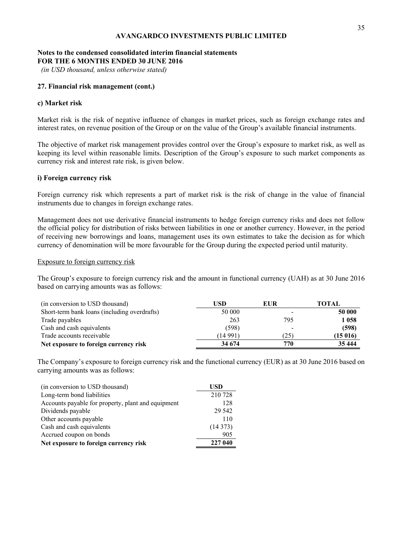# **Notes to the condensed consolidated interim financial statements FOR THE 6 MONTHS ENDED 30 JUNE 2016**

 *(in USD thousand, unless otherwise stated)* 

# **27. Financial risk management (cont.)**

## **c) Market risk**

Market risk is the risk of negative influence of changes in market prices, such as foreign exchange rates and interest rates, on revenue position of the Group or on the value of the Group's available financial instruments.

The objective of market risk management provides control over the Group's exposure to market risk, as well as keeping its level within reasonable limits. Description of the Group's exposure to such market components as currency risk and interest rate risk, is given below.

# **i) Foreign currency risk**

Foreign currency risk which represents a part of market risk is the risk of change in the value of financial instruments due to changes in foreign exchange rates.

Management does not use derivative financial instruments to hedge foreign currency risks and does not follow the official policy for distribution of risks between liabilities in one or another currency. However, in the period of receiving new borrowings and loans, management uses its own estimates to take the decision as for which currency of denomination will be more favourable for the Group during the expected period until maturity.

## Exposure to foreign currency risk

The Group's exposure to foreign currency risk and the amount in functional currency (UAH) as at 30 June 2016 based on carrying amounts was as follows:

| (in conversion to USD thousand)              | USD      | <b>EUR</b> | TOTAL   |
|----------------------------------------------|----------|------------|---------|
| Short-term bank loans (including overdrafts) | 50 000   |            | 50 000  |
| Trade payables                               | 263      | 795        | 1 058   |
| Cash and cash equivalents                    | (598)    |            | (598)   |
| Trade accounts receivable                    | (14 991) | (25)       | (15016) |
| Net exposure to foreign currency risk        | 34 674   | 770        | 35 444  |

The Company's exposure to foreign currency risk and the functional currency (EUR) as at 30 June 2016 based on carrying amounts was as follows:

| (in conversion to USD thousand)                    | USD     |
|----------------------------------------------------|---------|
| Long-term bond liabilities                         | 210 728 |
| Accounts payable for property, plant and equipment | 128     |
| Dividends payable                                  | 29 542  |
| Other accounts payable                             | 110     |
| Cash and cash equivalents                          | (14373) |
| Accrued coupon on bonds                            | 905     |
| Net exposure to foreign currency risk              | 227 040 |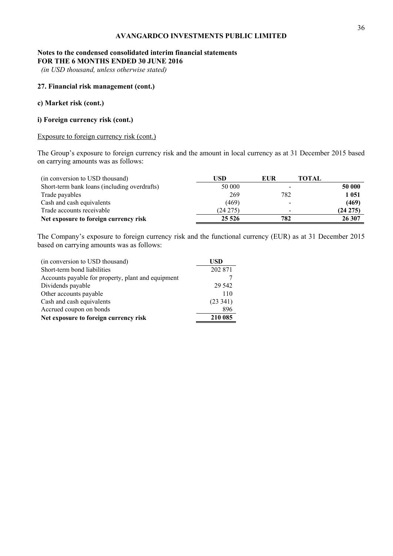# **Notes to the condensed consolidated interim financial statements FOR THE 6 MONTHS ENDED 30 JUNE 2016**

 *(in USD thousand, unless otherwise stated)* 

# **27. Financial risk management (cont.)**

# **c) Market risk (cont.)**

# **i) Foreign currency risk (cont.)**

# Exposure to foreign currency risk (cont.)

The Group's exposure to foreign currency risk and the amount in local currency as at 31 December 2015 based on carrying amounts was as follows:

| (in conversion to USD thousand)              | USD.        | EUR | TOTAL       |
|----------------------------------------------|-------------|-----|-------------|
| Short-term bank loans (including overdrafts) | 50 000      |     | 50 000      |
| Trade payables                               | 269         | 782 | 1 0 5 1     |
| Cash and cash equivalents                    | (469)       |     | (469)       |
| Trade accounts receivable                    | $(24\,275)$ |     | $(24\;275)$ |
| Net exposure to foreign currency risk        | 25 5 26     | 782 | 26 307      |

The Company's exposure to foreign currency risk and the functional currency (EUR) as at 31 December 2015 based on carrying amounts was as follows:

| (in conversion to USD thousand)                    | USD      |
|----------------------------------------------------|----------|
| Short-term bond liabilities                        | 202 871  |
| Accounts payable for property, plant and equipment |          |
| Dividends payable                                  | 29.542   |
| Other accounts payable                             | 110      |
| Cash and cash equivalents                          | (23 341) |
| Accrued coupon on bonds                            | 896      |
| Net exposure to foreign currency risk              | 210 085  |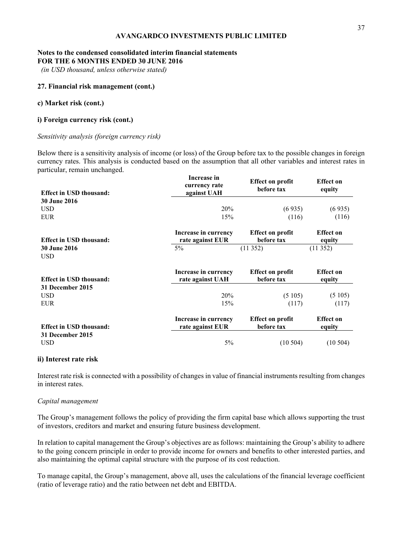# **Notes to the condensed consolidated interim financial statements FOR THE 6 MONTHS ENDED 30 JUNE 2016**

 *(in USD thousand, unless otherwise stated)* 

## **27. Financial risk management (cont.)**

## **c) Market risk (cont.)**

# **i) Foreign currency risk (cont.)**

## *Sensitivity analysis (foreign currency risk)*

Below there is a sensitivity analysis of income (or loss) of the Group before tax to the possible changes in foreign currency rates. This analysis is conducted based on the assumption that all other variables and interest rates in particular, remain unchanged.

| <b>Effect in USD thousand:</b>    | Increase in<br>currency rate<br>against UAH | <b>Effect on profit</b><br>before tax | <b>Effect</b> on<br>equity |
|-----------------------------------|---------------------------------------------|---------------------------------------|----------------------------|
| <b>30 June 2016</b>               |                                             |                                       |                            |
| <b>USD</b>                        | 20%                                         | (6935)                                | (6935)                     |
| <b>EUR</b>                        | 15%                                         | (116)                                 | (116)                      |
| <b>Effect in USD thousand:</b>    | Increase in currency<br>rate against EUR    | <b>Effect on profit</b><br>before tax | <b>Effect</b> on<br>equity |
| <b>30 June 2016</b><br><b>USD</b> | $5\%$                                       | (11352)                               | (11352)                    |
| <b>Effect in USD thousand:</b>    | Increase in currency<br>rate against UAH    | <b>Effect on profit</b><br>before tax | <b>Effect on</b><br>equity |
| 31 December 2015                  |                                             |                                       |                            |
| <b>USD</b><br><b>EUR</b>          | 20%<br>15%                                  | (5105)<br>(117)                       | (5105)<br>(117)            |
| <b>Effect in USD thousand:</b>    | Increase in currency<br>rate against EUR    | <b>Effect on profit</b><br>before tax | <b>Effect</b> on<br>equity |
| 31 December 2015<br>USD           | 5%                                          | (10504)                               | (10504)                    |

## **ii) Interest rate risk**

Interest rate risk is connected with a possibility of changes in value of financial instruments resulting from changes in interest rates.

## *Capital management*

The Group's management follows the policy of providing the firm capital base which allows supporting the trust of investors, creditors and market and ensuring future business development.

In relation to capital management the Group's objectives are as follows: maintaining the Group's ability to adhere to the going concern principle in order to provide income for owners and benefits to other interested parties, and also maintaining the optimal capital structure with the purpose of its cost reduction.

To manage capital, the Group's management, above all, uses the calculations of the financial leverage coefficient (ratio of leverage ratio) and the ratio between net debt and EBITDA.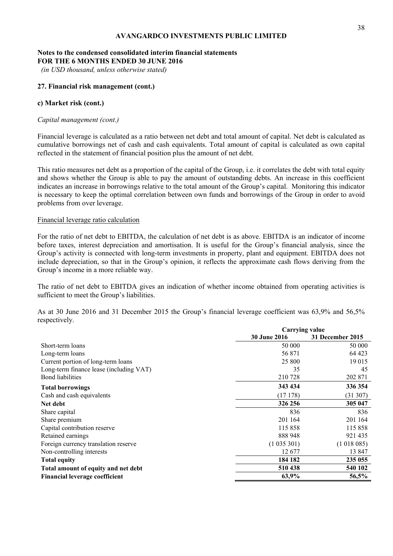# **Notes to the condensed consolidated interim financial statements FOR THE 6 MONTHS ENDED 30 JUNE 2016**

 *(in USD thousand, unless otherwise stated)* 

## **27. Financial risk management (cont.)**

## **c) Market risk (cont.)**

## *Capital management (cont.)*

Financial leverage is calculated as a ratio between net debt and total amount of capital. Net debt is calculated as cumulative borrowings net of cash and cash equivalents. Total amount of capital is calculated as own capital reflected in the statement of financial position plus the amount of net debt.

This ratio measures net debt as a proportion of the capital of the Group, i.e. it correlates the debt with total equity and shows whether the Group is able to pay the amount of outstanding debts. An increase in this coefficient indicates an increase in borrowings relative to the total amount of the Group's capital. Monitoring this indicator is necessary to keep the optimal correlation between own funds and borrowings of the Group in order to avoid problems from over leverage.

# Financial leverage ratio calculation

For the ratio of net debt to EBITDA, the calculation of net debt is as above. EBITDA is an indicator of income before taxes, interest depreciation and amortisation. It is useful for the Group's financial analysis, since the Group's activity is connected with long-term investments in property, plant and equipment. EBITDA does not include depreciation, so that in the Group's opinion, it reflects the approximate cash flows deriving from the Group's income in a more reliable way.

The ratio of net debt to EBITDA gives an indication of whether income obtained from operating activities is sufficient to meet the Group's liabilities.

As at 30 June 2016 and 31 December 2015 the Group's financial leverage coefficient was 63,9% and 56,5% respectively.

|                                         | <b>Carrying value</b> |                  |  |
|-----------------------------------------|-----------------------|------------------|--|
|                                         | <b>30 June 2016</b>   | 31 December 2015 |  |
| Short-term loans                        | 50 000                | 50 000           |  |
| Long-term loans                         | 56 871                | 64 423           |  |
| Current portion of long-term loans      | 25 800                | 19 015           |  |
| Long-term finance lease (including VAT) | 35                    | 45               |  |
| <b>Bond</b> liabilities                 | 210728                | 202 871          |  |
| <b>Total borrowings</b>                 | 343 434               | 336 354          |  |
| Cash and cash equivalents               | (17178)               | (31307)          |  |
| Net debt                                | 326 256               | 305 047          |  |
| Share capital                           | 836                   | 836              |  |
| Share premium                           | 201 164               | 201 164          |  |
| Capital contribution reserve            | 115858                | 115 858          |  |
| Retained earnings                       | 888 948               | 921 435          |  |
| Foreign currency translation reserve    | (1035301)             | (1018085)        |  |
| Non-controlling interests               | 12677                 | 13 847           |  |
| <b>Total equity</b>                     | 184 182               | 235 055          |  |
| Total amount of equity and net debt     | 510 438               | 540 102          |  |
| <b>Financial leverage coefficient</b>   | 63,9%                 | 56,5%            |  |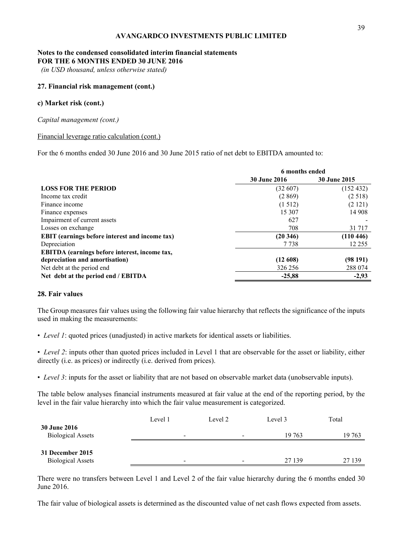# **Notes to the condensed consolidated interim financial statements FOR THE 6 MONTHS ENDED 30 JUNE 2016**

 *(in USD thousand, unless otherwise stated)* 

## **27. Financial risk management (cont.)**

## **c) Market risk (cont.)**

*Capital management (cont.)* 

## Financial leverage ratio calculation (cont.)

For the 6 months ended 30 June 2016 and 30 June 2015 ratio of net debt to EBITDA amounted to:

|                                                       | 6 months ended      |                     |  |
|-------------------------------------------------------|---------------------|---------------------|--|
|                                                       | <b>30 June 2016</b> | <b>30 June 2015</b> |  |
| <b>LOSS FOR THE PERIOD</b>                            | (32 607)            | (152 432)           |  |
| Income tax credit                                     | (2869)              | (2518)              |  |
| Finance income                                        | (1512)              | (2 121)             |  |
| Finance expenses                                      | 15 307              | 14 908              |  |
| Impairment of current assets                          | 627                 |                     |  |
| Losses on exchange                                    | 708                 | 31 7 17             |  |
| <b>EBIT</b> (earnings before interest and income tax) | (20346)             | (110446)            |  |
| Depreciation                                          | 7 7 3 8             | 12 2 5 5            |  |
| EBITDA (earnings before interest, income tax,         |                     |                     |  |
| depreciation and amortisation)                        | (12608)             | (98191)             |  |
| Net debt at the period end                            | 326 256             | 288 074             |  |
| Net debt at the period end / EBITDA                   | $-25,88$            | $-2,93$             |  |

# **28. Fair values**

The Group measures fair values using the following fair value hierarchy that reflects the significance of the inputs used in making the measurements:

• *Level 1*: quoted prices (unadjusted) in active markets for identical assets or liabilities.

• *Level 2*: inputs other than quoted prices included in Level 1 that are observable for the asset or liability, either directly (i.e. as prices) or indirectly (i.e. derived from prices).

• *Level 3*: inputs for the asset or liability that are not based on observable market data (unobservable inputs).

The table below analyses financial instruments measured at fair value at the end of the reporting period, by the level in the fair value hierarchy into which the fair value measurement is categorized.

|                                                 | Level 1                  | Level 2                  | Level 3 | Total  |
|-------------------------------------------------|--------------------------|--------------------------|---------|--------|
| <b>30 June 2016</b><br><b>Biological Assets</b> | $\overline{\phantom{a}}$ | $\overline{\phantom{a}}$ | 19 763  | 19 763 |
| 31 December 2015<br><b>Biological Assets</b>    | -                        |                          | 27 139  | 27 139 |

There were no transfers between Level 1 and Level 2 of the fair value hierarchy during the 6 months ended 30 June 2016.

The fair value of biological assets is determined as the discounted value of net cash flows expected from assets.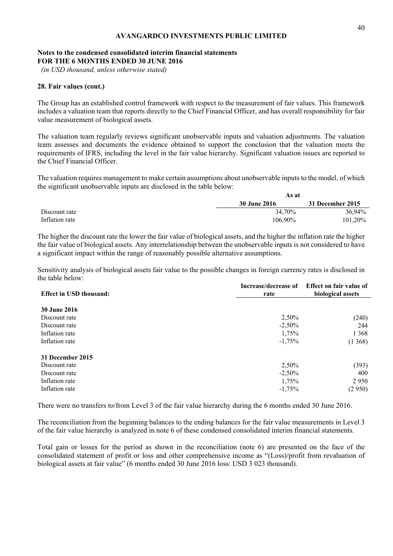# **Notes to the condensed consolidated interim financial statements FOR THE 6 MONTHS ENDED 30 JUNE 2016**

 *(in USD thousand, unless otherwise stated)* 

# **28. Fair values (cont.)**

The Group has an established control framework with respect to the measurement of fair values. This framework includes a valuation team that reports directly to the Chief Financial Officer, and has overall responsibility for fair value measurement of biological assets.

The valuation team regularly reviews significant unobservable inputs and valuation adjustments. The valuation team assesses and documents the evidence obtained to support the conclusion that the valuation meets the requirements of IFRS, including the level in the fair value hierarchy. Significant valuation issues are reported to the Chief Financial Officer.

The valuation requires management to make certain assumptions about unobservable inputs to the model, of which the significant unobservable inputs are disclosed in the table below:

|                | As at               |                  |
|----------------|---------------------|------------------|
|                | <b>30 June 2016</b> | 31 December 2015 |
| Discount rate  | 34.70%              | 36.94%           |
| Inflation rate | 106.90%             | 101.20%          |

The higher the discount rate the lower the fair value of biological assets, and the higher the inflation rate the higher the fair value of biological assets. Any interrelationship between the unobservable inputs is not considered to have a significant impact within the range of reasonably possible alternative assumptions.

Sensitivity analysis of biological assets fair value to the possible changes in foreign currency rates is disclosed in the table below:

| <b>Effect in USD thousand:</b> | Increase/decrease of<br>rate | Effect on fair value of<br>biological assets |  |
|--------------------------------|------------------------------|----------------------------------------------|--|
| <b>30 June 2016</b>            |                              |                                              |  |
| Discount rate                  | 2,50%                        | (240)                                        |  |
| Discount rate                  | $-2,50%$                     | 244                                          |  |
| Inflation rate                 | 1,75%                        | 1 3 6 8                                      |  |
| Inflation rate                 | $-1,75%$                     | (1368)                                       |  |
| 31 December 2015               |                              |                                              |  |
| Discount rate                  | 2,50%                        | (393)                                        |  |
| Discount rate                  | $-2,50%$                     | 400                                          |  |
| Inflation rate                 | 1,75%                        | 2950                                         |  |
| Inflation rate                 | $-1,75%$                     | (2950)                                       |  |

There were no transfers to/from Level 3 of the fair value hierarchy during the 6 months ended 30 June 2016.

The reconciliation from the beginning balances to the ending balances for the fair value measurements in Level 3 of the fair value hierarchy is analyzed in note 6 of these condensed consolidated interim financial statements.

Total gain or losses for the period as shown in the reconciliation (note 6) are presented on the face of the consolidated statement of profit or loss and other comprehensive income as "(Loss)/profit from revaluation of biological assets at fair value" (6 months ended 30 June 2016 loss: USD 3 023 thousand).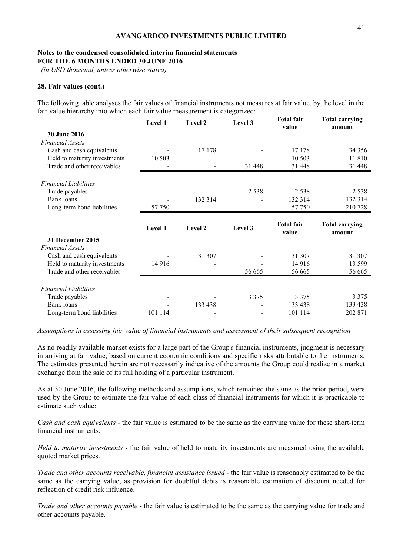# **Notes to the condensed consolidated interim financial statements FOR THE 6 MONTHS ENDED 30 JUNE 2016**

 *(in USD thousand, unless otherwise stated)* 

# **28. Fair values (cont.)**

The following table analyses the fair values of financial instruments not measures at fair value, by the level in the fair value hierarchy into which each fair value measurement is categorized:

|                                          | Level 1 | Level 2 | Level 3 | <b>Total fair</b><br>value | <b>Total carrying</b><br>amount |
|------------------------------------------|---------|---------|---------|----------------------------|---------------------------------|
| 30 June 2016                             |         |         |         |                            |                                 |
| <b>Financial Assets</b>                  |         |         |         |                            |                                 |
| Cash and cash equivalents                |         | 17 178  |         | 17 178                     | 34 3 5 6                        |
| Held to maturity investments             | 10 503  |         |         | 10 503                     | 11 810                          |
| Trade and other receivables              |         |         | 31 448  | 31 448                     | 31 448                          |
| <b>Financial Liabilities</b>             |         |         |         |                            |                                 |
| Trade payables                           |         |         | 2 5 3 8 | 2 5 3 8                    | 2 5 3 8                         |
| Bank loans                               |         | 132 314 |         | 132 314                    | 132 314                         |
| Long-term bond liabilities               | 57 750  |         |         | 57 750                     | 210728                          |
|                                          |         |         |         |                            |                                 |
|                                          |         |         |         |                            |                                 |
|                                          | Level 1 | Level 2 | Level 3 | <b>Total fair</b><br>value | <b>Total carrying</b><br>amount |
| 31 December 2015                         |         |         |         |                            |                                 |
| <b>Financial Assets</b>                  |         |         |         |                            |                                 |
| Cash and cash equivalents                |         | 31 307  |         | 31 307                     | 31 307                          |
| Held to maturity investments             | 14 9 16 |         |         | 14 9 16                    | 13 599                          |
| Trade and other receivables              |         |         | 56 665  | 56 665                     | 56 665                          |
|                                          |         |         |         |                            |                                 |
| <b>Financial Liabilities</b>             |         |         |         |                            |                                 |
| Trade payables                           |         |         | 3 3 7 5 | 3 3 7 5                    | 3 3 7 5                         |
| Bank loans<br>Long-term bond liabilities | 101 114 | 133 438 |         | 133 438<br>101 114         | 133 438<br>202 871              |

*Assumptions in assessing fair value of financial instruments and assessment of their subsequent recognition* 

As no readily available market exists for a large part of the Group's financial instruments, judgment is necessary in arriving at fair value, based on current economic conditions and specific risks attributable to the instruments. The estimates presented herein are not necessarily indicative of the amounts the Group could realize in a market exchange from the sale of its full holding of a particular instrument.

As at 30 June 2016, the following methods and assumptions, which remained the same as the prior period, were used by the Group to estimate the fair value of each class of financial instruments for which it is practicable to estimate such value:

*Cash and cash equivalents* - the fair value is estimated to be the same as the carrying value for these short-term financial instruments.

*Held to maturity investments* - the fair value of held to maturity investments are measured using the available quoted market prices.

*Trade and other accounts receivable, financial assistance issued* - the fair value is reasonably estimated to be the same as the carrying value, as provision for doubtful debts is reasonable estimation of discount needed for reflection of credit risk influence.

*Trade and other accounts payable* - the fair value is estimated to be the same as the carrying value for trade and other accounts payable.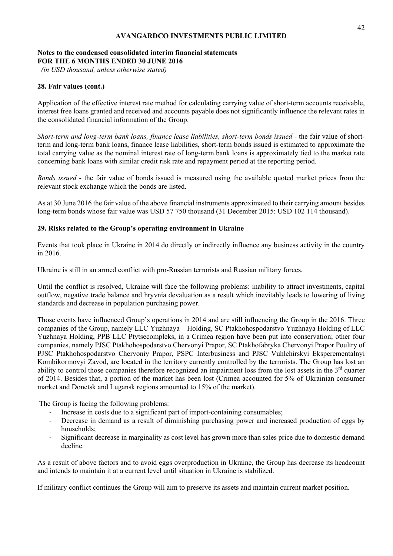# **Notes to the condensed consolidated interim financial statements FOR THE 6 MONTHS ENDED 30 JUNE 2016**

 *(in USD thousand, unless otherwise stated)* 

# **28. Fair values (cont.)**

Application of the effective interest rate method for calculating carrying value of short-term accounts receivable, interest free loans granted and received and accounts payable does not significantly influence the relevant rates in the consolidated financial information of the Group.

*Short-term and long-term bank loans, finance lease liabilities, short-term bonds issued* - the fair value of shortterm and long-term bank loans, finance lease liabilities, short-term bonds issued is estimated to approximate the total carrying value as the nominal interest rate of long-term bank loans is approximately tied to the market rate concerning bank loans with similar credit risk rate and repayment period at the reporting period.

*Bonds issued* - the fair value of bonds issued is measured using the available quoted market prices from the relevant stock exchange which the bonds are listed.

As at 30 June 2016 the fair value of the above financial instruments approximated to their carrying amount besides long-term bonds whose fair value was USD 57 750 thousand (31 December 2015: USD 102 114 thousand).

# **29. Risks related to the Group's operating environment in Ukraine**

Events that took place in Ukraine in 2014 do directly or indirectly influence any business activity in the country in 2016.

Ukraine is still in an armed conflict with pro-Russian terrorists and Russian military forces.

Until the conflict is resolved, Ukraine will face the following problems: inability to attract investments, capital outflow, negative trade balance and hryvnia devaluation as a result which inevitably leads to lowering of living standards and decrease in population purchasing power.

Those events have influenced Group's operations in 2014 and are still influencing the Group in the 2016. Three companies of the Group, namely LLC Yuzhnaya – Holding, SC Ptakhohospodarstvo Yuzhnaya Holding of LLC Yuzhnaya Holding, PPB LLC Ptytsecompleks, in a Crimea region have been put into conservation; other four companies, namely PJSC Ptakhohospodarstvo Chervonyi Prapor, SC Ptakhofabryka Chervonyi Prapor Poultry of PJSC Ptakhohospodarstvo Chervoniy Prapor, PSPC Interbusiness and PJSC Vuhlehirskyi Eksperementalnyi Kombikormovyi Zavod, are located in the territory currently controlled by the terrorists. The Group has lost an ability to control those companies therefore recognized an impairment loss from the lost assets in the 3<sup>rd</sup> quarter of 2014. Besides that, a portion of the market has been lost (Crimea accounted for 5% of Ukrainian consumer market and Donetsk and Lugansk regions amounted to 15% of the market).

The Group is facing the following problems:

- Increase in costs due to a significant part of import-containing consumables;
- Decrease in demand as a result of diminishing purchasing power and increased production of eggs by households;
- Significant decrease in marginality as cost level has grown more than sales price due to domestic demand decline.

As a result of above factors and to avoid eggs overproduction in Ukraine, the Group has decrease its headcount and intends to maintain it at a current level until situation in Ukraine is stabilized.

If military conflict continues the Group will aim to preserve its assets and maintain current market position.